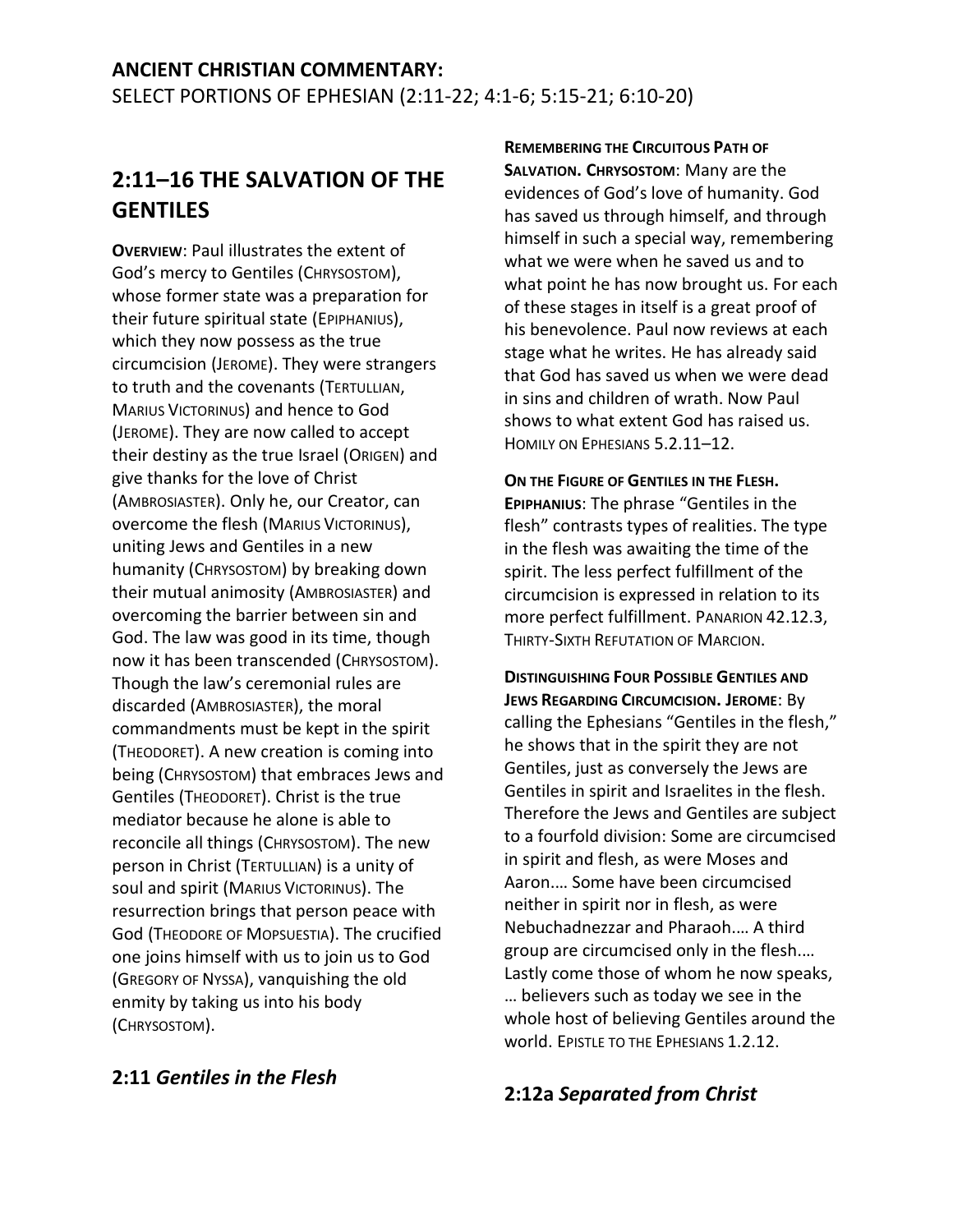SELECT PORTIONS OF EPHESIAN (2:11-22; 4:1-6; 5:15-21; 6:10-20)

# **2:11–16 THE SALVATION OF THE GENTILES**

**OVERVIEW**: Paul illustrates the extent of God's mercy to Gentiles (CHRYSOSTOM), whose former state was a preparation for their future spiritual state (EPIPHANIUS), which they now possess as the true circumcision (JEROME). They were strangers to truth and the covenants (TERTULLIAN, MARIUS VICTORINUS) and hence to God (JEROME). They are now called to accept their destiny as the true Israel (ORIGEN) and give thanks for the love of Christ (AMBROSIASTER). Only he, our Creator, can overcome the flesh (MARIUS VICTORINUS), uniting Jews and Gentiles in a new humanity (CHRYSOSTOM) by breaking down their mutual animosity (AMBROSIASTER) and overcoming the barrier between sin and God. The law was good in its time, though now it has been transcended (CHRYSOSTOM). Though the law's ceremonial rules are discarded (AMBROSIASTER), the moral commandments must be kept in the spirit (THEODORET). A new creation is coming into being (CHRYSOSTOM) that embraces Jews and Gentiles (THEODORET). Christ is the true mediator because he alone is able to reconcile all things (CHRYSOSTOM). The new person in Christ (TERTULLIAN) is a unity of soul and spirit (MARIUS VICTORINUS). The resurrection brings that person peace with God (THEODORE OF MOPSUESTIA). The crucified one joins himself with us to join us to God (GREGORY OF NYSSA), vanquishing the old enmity by taking us into his body (CHRYSOSTOM).

**REMEMBERING THE CIRCUITOUS PATH OF SALVATION. CHRYSOSTOM**: Many are the evidences of God's love of humanity. God has saved us through himself, and through himself in such a special way, remembering what we were when he saved us and to what point he has now brought us. For each of these stages in itself is a great proof of his benevolence. Paul now reviews at each stage what he writes. He has already said that God has saved us when we were dead in sins and children of wrath. Now Paul shows to what extent God has raised us. HOMILY ON EPHESIANS 5.2.11–12.

**ON THE FIGURE OF GENTILES IN THE FLESH. EPIPHANIUS**: The phrase "Gentiles in the flesh" contrasts types of realities. The type in the flesh was awaiting the time of the spirit. The less perfect fulfillment of the circumcision is expressed in relation to its more perfect fulfillment. PANARION 42.12.3, THIRTY-SIXTH REFUTATION OF MARCION.

**DISTINGUISHING FOUR POSSIBLE GENTILES AND JEWS REGARDING CIRCUMCISION. JEROME**: By calling the Ephesians "Gentiles in the flesh," he shows that in the spirit they are not Gentiles, just as conversely the Jews are Gentiles in spirit and Israelites in the flesh. Therefore the Jews and Gentiles are subject to a fourfold division: Some are circumcised in spirit and flesh, as were Moses and Aaron.… Some have been circumcised neither in spirit nor in flesh, as were Nebuchadnezzar and Pharaoh.… A third group are circumcised only in the flesh.… Lastly come those of whom he now speaks, … believers such as today we see in the whole host of believing Gentiles around the WORLG. EPISTLE TO THE EPHESIANS 1.2.12.

# **2:12a** *Separated from Christ*

## **2:11** *Gentiles in the Flesh*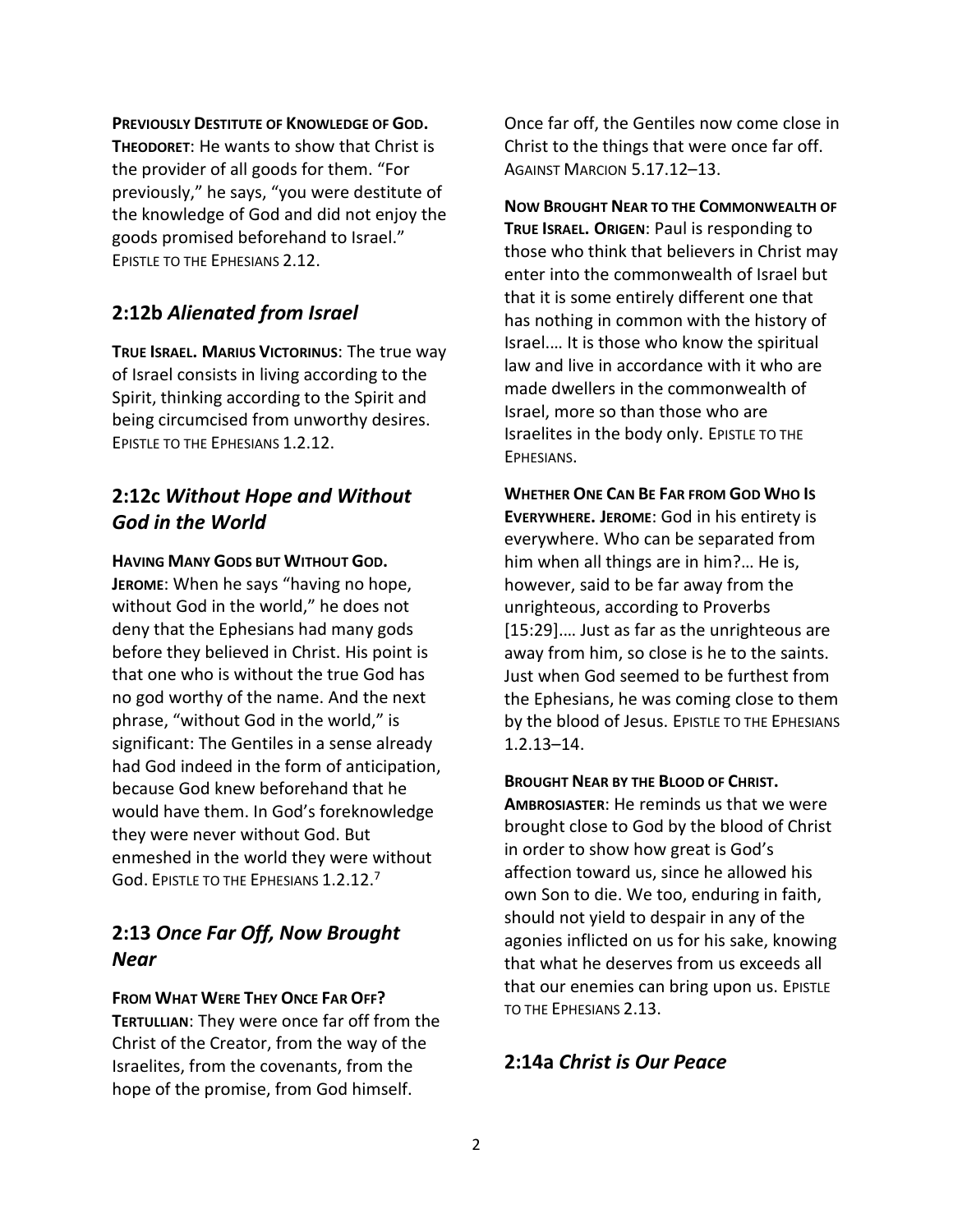**PREVIOUSLY DESTITUTE OF KNOWLEDGE OF GOD.** 

**THEODORET**: He wants to show that Christ is the provider of all goods for them. "For previously," he says, "you were destitute of the knowledge of God and did not enjoy the goods promised beforehand to Israel." EPISTLE TO THE EPHESIANS 2.12.

#### **2:12b** *Alienated from Israel*

**TRUE ISRAEL. MARIUS VICTORINUS**: The true way of Israel consists in living according to the Spirit, thinking according to the Spirit and being circumcised from unworthy desires. EPISTLE TO THE EPHESIANS 1.2.12.

## **2:12c** *Without Hope and Without God in the World*

**HAVING MANY GODS BUT WITHOUT GOD. JEROME**: When he says "having no hope, without God in the world," he does not deny that the Ephesians had many gods before they believed in Christ. His point is that one who is without the true God has no god worthy of the name. And the next phrase, "without God in the world," is significant: The Gentiles in a sense already had God indeed in the form of anticipation, because God knew beforehand that he would have them. In God's foreknowledge they were never without God. But enmeshed in the world they were without  $\rm God.$  Epistle to the Ephesians  $1.2.12.^7$ 

## **2:13** *Once Far Off, Now Brought Near*

**FROM WHAT WERE THEY ONCE FAR OFF? TERTULLIAN**: They were once far off from the Christ of the Creator, from the way of the Israelites, from the covenants, from the hope of the promise, from God himself.

Once far off, the Gentiles now come close in Christ to the things that were once far off. AGAINST MARCION 5.17.12–13.

**NOW BROUGHT NEAR TO THE COMMONWEALTH OF TRUE ISRAEL. ORIGEN**: Paul is responding to those who think that believers in Christ may enter into the commonwealth of Israel but that it is some entirely different one that has nothing in common with the history of Israel.… It is those who know the spiritual law and live in accordance with it who are made dwellers in the commonwealth of Israel, more so than those who are Israelites in the body only. EPISTLE TO THE EPHESIANS.

**WHETHER ONE CAN BE FAR FROM GOD WHO IS EVERYWHERE. JEROME**: God in his entirety is everywhere. Who can be separated from him when all things are in him?… He is, however, said to be far away from the unrighteous, according to Proverbs [15:29].... Just as far as the unrighteous are away from him, so close is he to the saints. Just when God seemed to be furthest from the Ephesians, he was coming close to them by the blood of Jesus. EPISTLE TO THE EPHESIANS 1.2.13–14.

**BROUGHT NEAR BY THE BLOOD OF CHRIST. AMBROSIASTER**: He reminds us that we were brought close to God by the blood of Christ in order to show how great is God's affection toward us, since he allowed his own Son to die. We too, enduring in faith, should not yield to despair in any of the agonies inflicted on us for his sake, knowing that what he deserves from us exceeds all that our enemies can bring upon us. EPISTLE TO THE EPHESIANS 2.13.

## **2:14a** *Christ is Our Peace*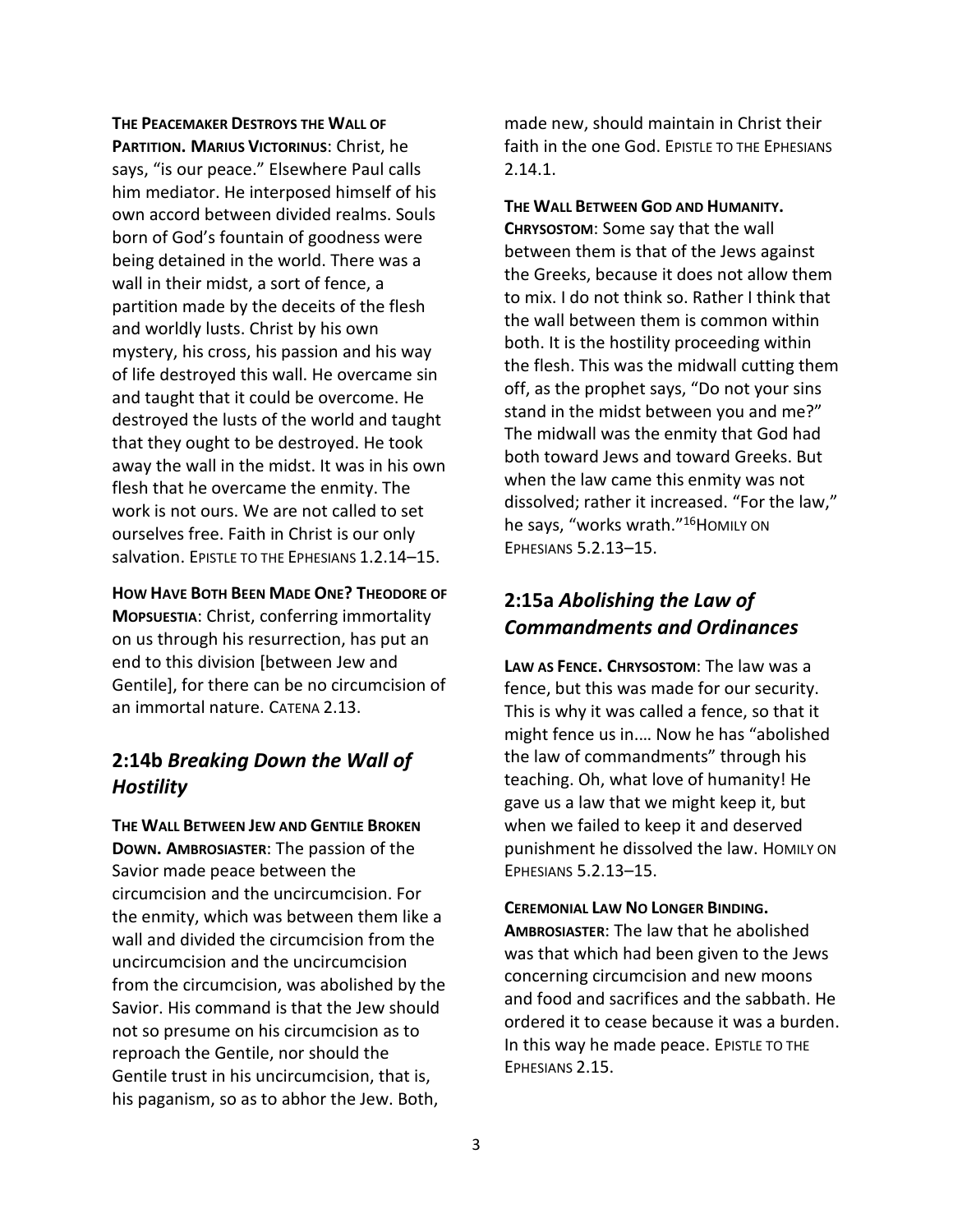**THE PEACEMAKER DESTROYS THE WALL OF PARTITION. MARIUS VICTORINUS**: Christ, he says, "is our peace." Elsewhere Paul calls him mediator. He interposed himself of his own accord between divided realms. Souls born of God's fountain of goodness were being detained in the world. There was a wall in their midst, a sort of fence, a partition made by the deceits of the flesh and worldly lusts. Christ by his own mystery, his cross, his passion and his way of life destroyed this wall. He overcame sin and taught that it could be overcome. He destroyed the lusts of the world and taught that they ought to be destroyed. He took away the wall in the midst. It was in his own flesh that he overcame the enmity. The work is not ours. We are not called to set ourselves free. Faith in Christ is our only salvation. EPISTLE TO THE EPHESIANS 1.2.14-15.

#### **HOW HAVE BOTH BEEN MADE ONE? THEODORE OF**

**MOPSUESTIA**: Christ, conferring immortality on us through his resurrection, has put an end to this division [between Jew and Gentile], for there can be no circumcision of an immortal nature. CATENA 2.13.

#### **2:14b** *Breaking Down the Wall of Hostility*

**THE WALL BETWEEN JEW AND GENTILE BROKEN DOWN. AMBROSIASTER**: The passion of the Savior made peace between the circumcision and the uncircumcision. For the enmity, which was between them like a wall and divided the circumcision from the uncircumcision and the uncircumcision from the circumcision, was abolished by the Savior. His command is that the Jew should not so presume on his circumcision as to reproach the Gentile, nor should the Gentile trust in his uncircumcision, that is, his paganism, so as to abhor the Jew. Both,

made new, should maintain in Christ their faith in the one God. EPISTLE TO THE EPHESIANS 2.14.1.

**THE WALL BETWEEN GOD AND HUMANITY. CHRYSOSTOM**: Some say that the wall between them is that of the Jews against the Greeks, because it does not allow them to mix. I do not think so. Rather I think that the wall between them is common within both. It is the hostility proceeding within the flesh. This was the midwall cutting them off, as the prophet says, "Do not your sins stand in the midst between you and me?" The midwall was the enmity that God had both toward Jews and toward Greeks. But when the law came this enmity was not dissolved; rather it increased. "For the law," he says, "works wrath."<sup>16</sup>HOMILY ON EPHESIANS 5.2.13–15.

## **2:15a** *Abolishing the Law of Commandments and Ordinances*

**LAW AS FENCE. CHRYSOSTOM**: The law was a fence, but this was made for our security. This is why it was called a fence, so that it might fence us in.… Now he has "abolished the law of commandments" through his teaching. Oh, what love of humanity! He gave us a law that we might keep it, but when we failed to keep it and deserved punishment he dissolved the law. HOMILY ON EPHESIANS 5.2.13–15.

#### **CEREMONIAL LAW NO LONGER BINDING.**

**AMBROSIASTER**: The law that he abolished was that which had been given to the Jews concerning circumcision and new moons and food and sacrifices and the sabbath. He ordered it to cease because it was a burden. In this way he made peace. EPISTLE TO THE EPHESIANS 2.15.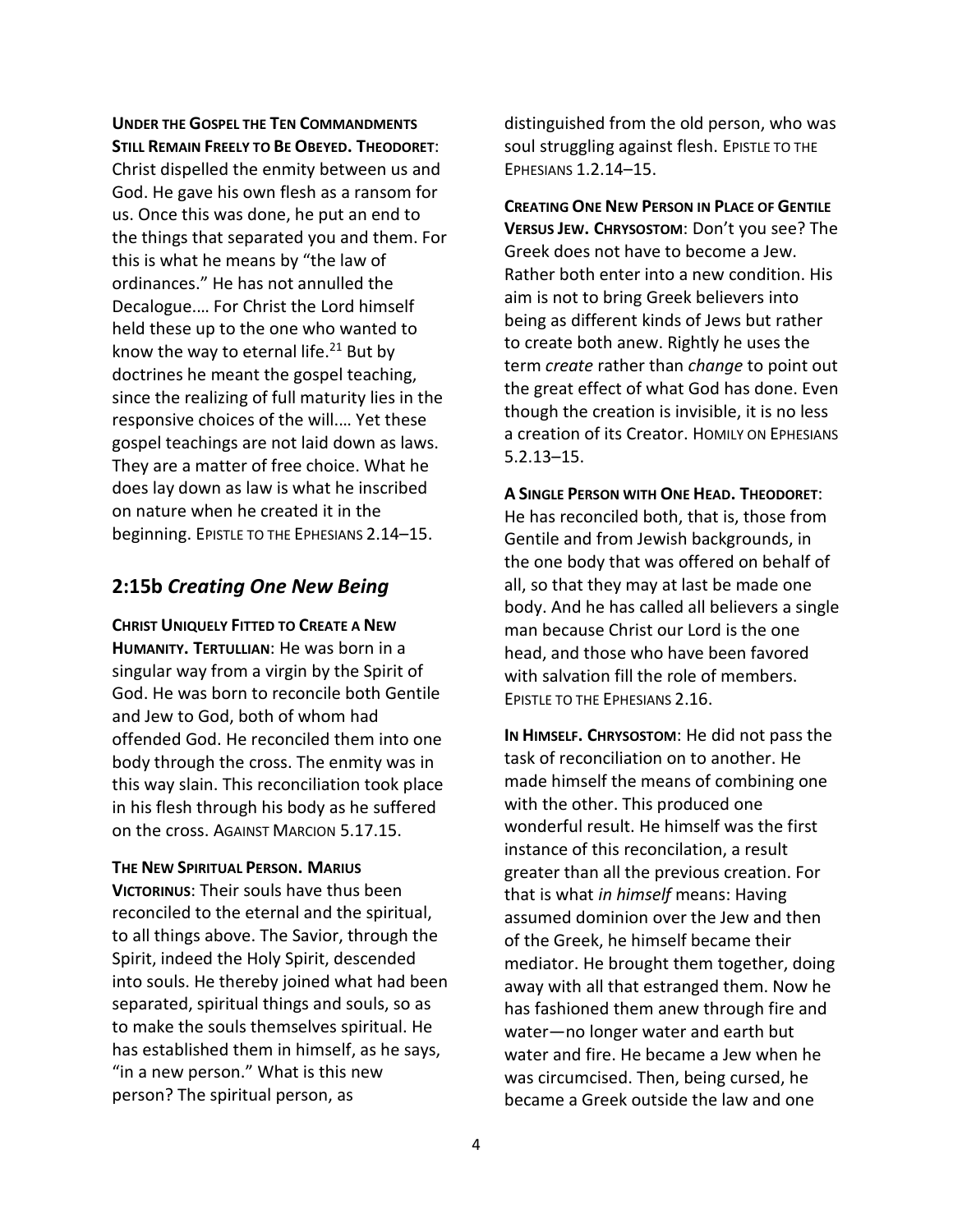**UNDER THE GOSPEL THE TEN COMMANDMENTS STILL REMAIN FREELY TO BE OBEYED. THEODORET**: Christ dispelled the enmity between us and God. He gave his own flesh as a ransom for us. Once this was done, he put an end to the things that separated you and them. For this is what he means by "the law of ordinances." He has not annulled the Decalogue.… For Christ the Lord himself held these up to the one who wanted to know the way to eternal life. $21$  But by doctrines he meant the gospel teaching, since the realizing of full maturity lies in the responsive choices of the will.… Yet these gospel teachings are not laid down as laws. They are a matter of free choice. What he does lay down as law is what he inscribed on nature when he created it in the beginning. EPISTLE TO THE EPHESIANS 2.14–15.

#### **2:15b** *Creating One New Being*

**CHRIST UNIQUELY FITTED TO CREATE A NEW HUMANITY. TERTULLIAN**: He was born in a singular way from a virgin by the Spirit of God. He was born to reconcile both Gentile and Jew to God, both of whom had offended God. He reconciled them into one body through the cross. The enmity was in this way slain. This reconciliation took place in his flesh through his body as he suffered on the cross. AGAINST MARCION 5.17.15.

#### **THE NEW SPIRITUAL PERSON. MARIUS**

**VICTORINUS**: Their souls have thus been reconciled to the eternal and the spiritual, to all things above. The Savior, through the Spirit, indeed the Holy Spirit, descended into souls. He thereby joined what had been separated, spiritual things and souls, so as to make the souls themselves spiritual. He has established them in himself, as he says, "in a new person." What is this new person? The spiritual person, as

distinguished from the old person, who was soul struggling against flesh. EPISTLE TO THE EPHESIANS 1.2.14–15.

**CREATING ONE NEW PERSON IN PLACE OF GENTILE VERSUS JEW. CHRYSOSTOM**: Don't you see? The Greek does not have to become a Jew. Rather both enter into a new condition. His aim is not to bring Greek believers into being as different kinds of Jews but rather to create both anew. Rightly he uses the term *create* rather than *change* to point out the great effect of what God has done. Even though the creation is invisible, it is no less a creation of its Creator. HOMILY ON EPHESIANS 5.2.13–15.

**A SINGLE PERSON WITH ONE HEAD. THEODORET**: He has reconciled both, that is, those from Gentile and from Jewish backgrounds, in the one body that was offered on behalf of all, so that they may at last be made one body. And he has called all believers a single man because Christ our Lord is the one head, and those who have been favored with salvation fill the role of members. EPISTLE TO THE EPHESIANS 2.16.

**IN HIMSELF. CHRYSOSTOM**: He did not pass the task of reconciliation on to another. He made himself the means of combining one with the other. This produced one wonderful result. He himself was the first instance of this reconcilation, a result greater than all the previous creation. For that is what *in himself* means: Having assumed dominion over the Jew and then of the Greek, he himself became their mediator. He brought them together, doing away with all that estranged them. Now he has fashioned them anew through fire and water—no longer water and earth but water and fire. He became a Jew when he was circumcised. Then, being cursed, he became a Greek outside the law and one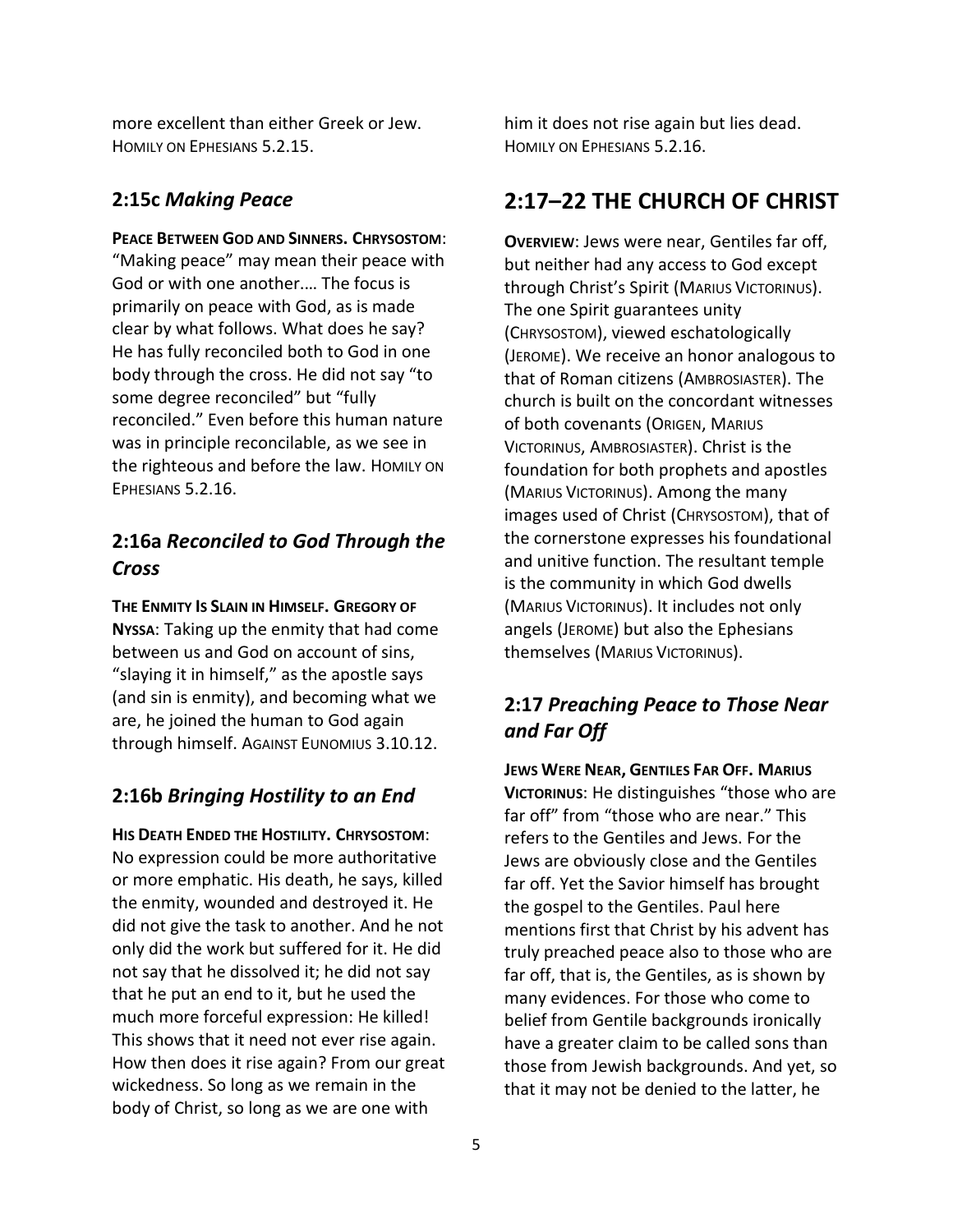more excellent than either Greek or Jew. HOMILY ON EPHESIANS 5.2.15.

#### **2:15c** *Making Peace*

**PEACE BETWEEN GOD AND SINNERS. CHRYSOSTOM**: "Making peace" may mean their peace with God or with one another.… The focus is primarily on peace with God, as is made clear by what follows. What does he say? He has fully reconciled both to God in one body through the cross. He did not say "to some degree reconciled" but "fully reconciled." Even before this human nature was in principle reconcilable, as we see in the righteous and before the law. HOMILY ON EPHESIANS 5.2.16.

## **2:16a** *Reconciled to God Through the Cross*

**THE ENMITY IS SLAIN IN HIMSELF. GREGORY OF NYSSA**: Taking up the enmity that had come between us and God on account of sins, "slaying it in himself," as the apostle says (and sin is enmity), and becoming what we are, he joined the human to God again through himself. AGAINST EUNOMIUS 3.10.12.

## **2:16b** *Bringing Hostility to an End*

**HIS DEATH ENDED THE HOSTILITY. CHRYSOSTOM**: No expression could be more authoritative or more emphatic. His death, he says, killed the enmity, wounded and destroyed it. He did not give the task to another. And he not only did the work but suffered for it. He did not say that he dissolved it; he did not say that he put an end to it, but he used the much more forceful expression: He killed! This shows that it need not ever rise again. How then does it rise again? From our great wickedness. So long as we remain in the body of Christ, so long as we are one with

him it does not rise again but lies dead. HOMILY ON EPHESIANS 5.2.16.

## **2:17–22 THE CHURCH OF CHRIST**

**OVERVIEW**: Jews were near, Gentiles far off, but neither had any access to God except through Christ's Spirit (MARIUS VICTORINUS). The one Spirit guarantees unity (CHRYSOSTOM), viewed eschatologically (JEROME). We receive an honor analogous to that of Roman citizens (AMBROSIASTER). The church is built on the concordant witnesses of both covenants (ORIGEN, MARIUS VICTORINUS, AMBROSIASTER). Christ is the foundation for both prophets and apostles (MARIUS VICTORINUS). Among the many images used of Christ (CHRYSOSTOM), that of the cornerstone expresses his foundational and unitive function. The resultant temple is the community in which God dwells (MARIUS VICTORINUS). It includes not only angels (JEROME) but also the Ephesians themselves (MARIUS VICTORINUS).

# **2:17** *Preaching Peace to Those Near and Far Off*

**JEWS WERE NEAR, GENTILES FAR OFF. MARIUS VICTORINUS**: He distinguishes "those who are far off" from "those who are near." This refers to the Gentiles and Jews. For the Jews are obviously close and the Gentiles far off. Yet the Savior himself has brought the gospel to the Gentiles. Paul here mentions first that Christ by his advent has truly preached peace also to those who are far off, that is, the Gentiles, as is shown by many evidences. For those who come to belief from Gentile backgrounds ironically have a greater claim to be called sons than those from Jewish backgrounds. And yet, so that it may not be denied to the latter, he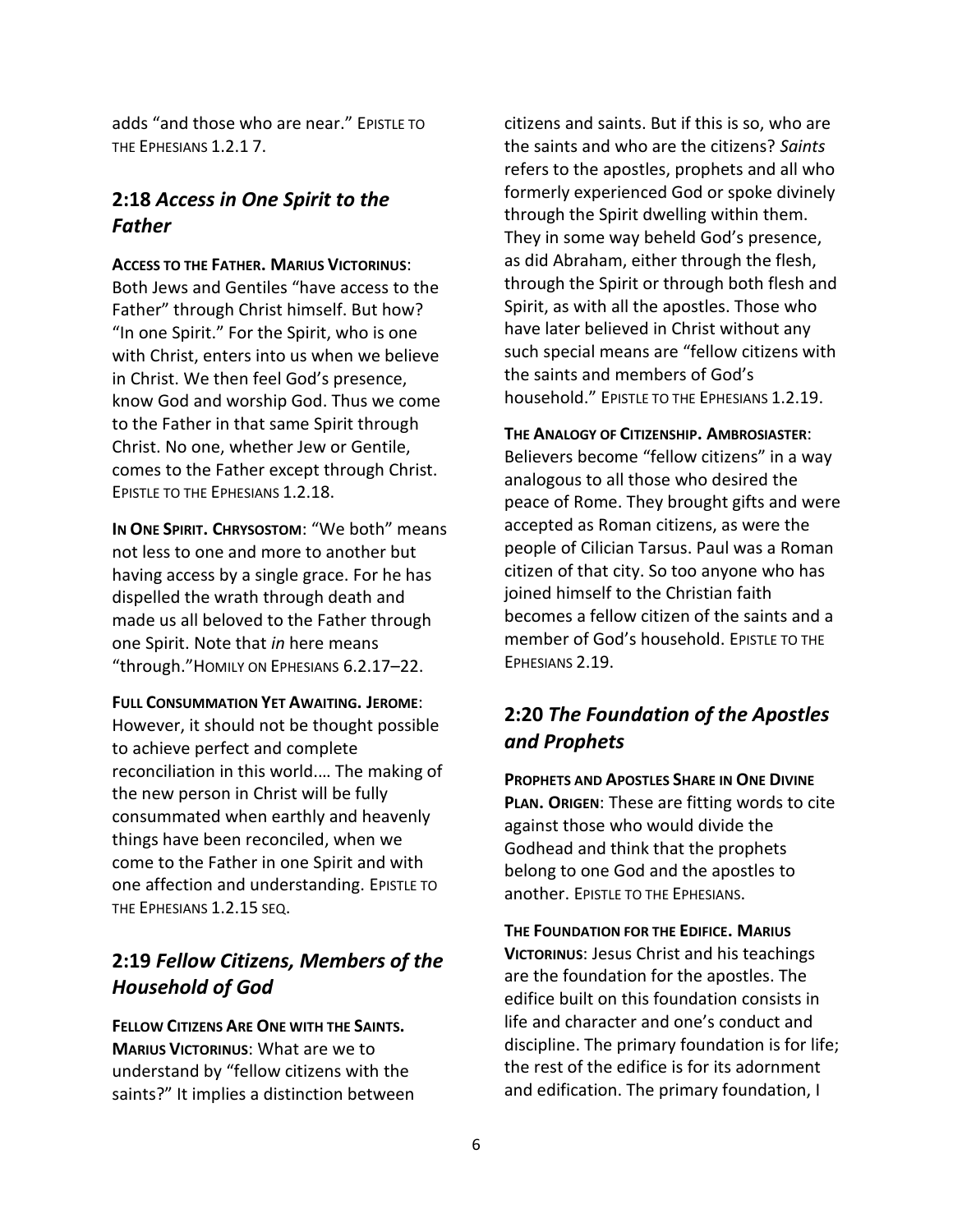adds "and those who are near." EPISTLE TO THE EPHESIANS 1.2.1 7.

## **2:18** *Access in One Spirit to the Father*

**ACCESS TO THE FATHER. MARIUS VICTORINUS**:

Both Jews and Gentiles "have access to the Father" through Christ himself. But how? "In one Spirit." For the Spirit, who is one with Christ, enters into us when we believe in Christ. We then feel God's presence, know God and worship God. Thus we come to the Father in that same Spirit through Christ. No one, whether Jew or Gentile, comes to the Father except through Christ. EPISTLE TO THE EPHESIANS 1.2.18.

**IN ONE SPIRIT. CHRYSOSTOM**: "We both" means not less to one and more to another but having access by a single grace. For he has dispelled the wrath through death and made us all beloved to the Father through one Spirit. Note that *in* here means "through."HOMILY ON EPHESIANS 6.2.17–22.

**FULL CONSUMMATION YET AWAITING. JEROME**: However, it should not be thought possible to achieve perfect and complete reconciliation in this world.… The making of the new person in Christ will be fully consummated when earthly and heavenly things have been reconciled, when we come to the Father in one Spirit and with one affection and understanding. EPISTLE TO THE EPHESIANS 1.2.15 SEQ.

# **2:19** *Fellow Citizens, Members of the Household of God*

**FELLOW CITIZENS ARE ONE WITH THE SAINTS. MARIUS VICTORINUS**: What are we to understand by "fellow citizens with the saints?" It implies a distinction between citizens and saints. But if this is so, who are the saints and who are the citizens? *Saints* refers to the apostles, prophets and all who formerly experienced God or spoke divinely through the Spirit dwelling within them. They in some way beheld God's presence, as did Abraham, either through the flesh, through the Spirit or through both flesh and Spirit, as with all the apostles. Those who have later believed in Christ without any such special means are "fellow citizens with the saints and members of God's household." EPISTLE TO THE EPHESIANS 1.2.19.

**THE ANALOGY OF CITIZENSHIP. AMBROSIASTER**: Believers become "fellow citizens" in a way analogous to all those who desired the peace of Rome. They brought gifts and were accepted as Roman citizens, as were the people of Cilician Tarsus. Paul was a Roman citizen of that city. So too anyone who has joined himself to the Christian faith becomes a fellow citizen of the saints and a member of God's household. EPISTLE TO THE EPHESIANS 2.19.

## **2:20** *The Foundation of the Apostles and Prophets*

**PROPHETS AND APOSTLES SHARE IN ONE DIVINE PLAN. ORIGEN**: These are fitting words to cite against those who would divide the Godhead and think that the prophets belong to one God and the apostles to another. EPISTLE TO THE EPHESIANS.

**THE FOUNDATION FOR THE EDIFICE. MARIUS VICTORINUS**: Jesus Christ and his teachings are the foundation for the apostles. The edifice built on this foundation consists in life and character and one's conduct and discipline. The primary foundation is for life; the rest of the edifice is for its adornment and edification. The primary foundation, I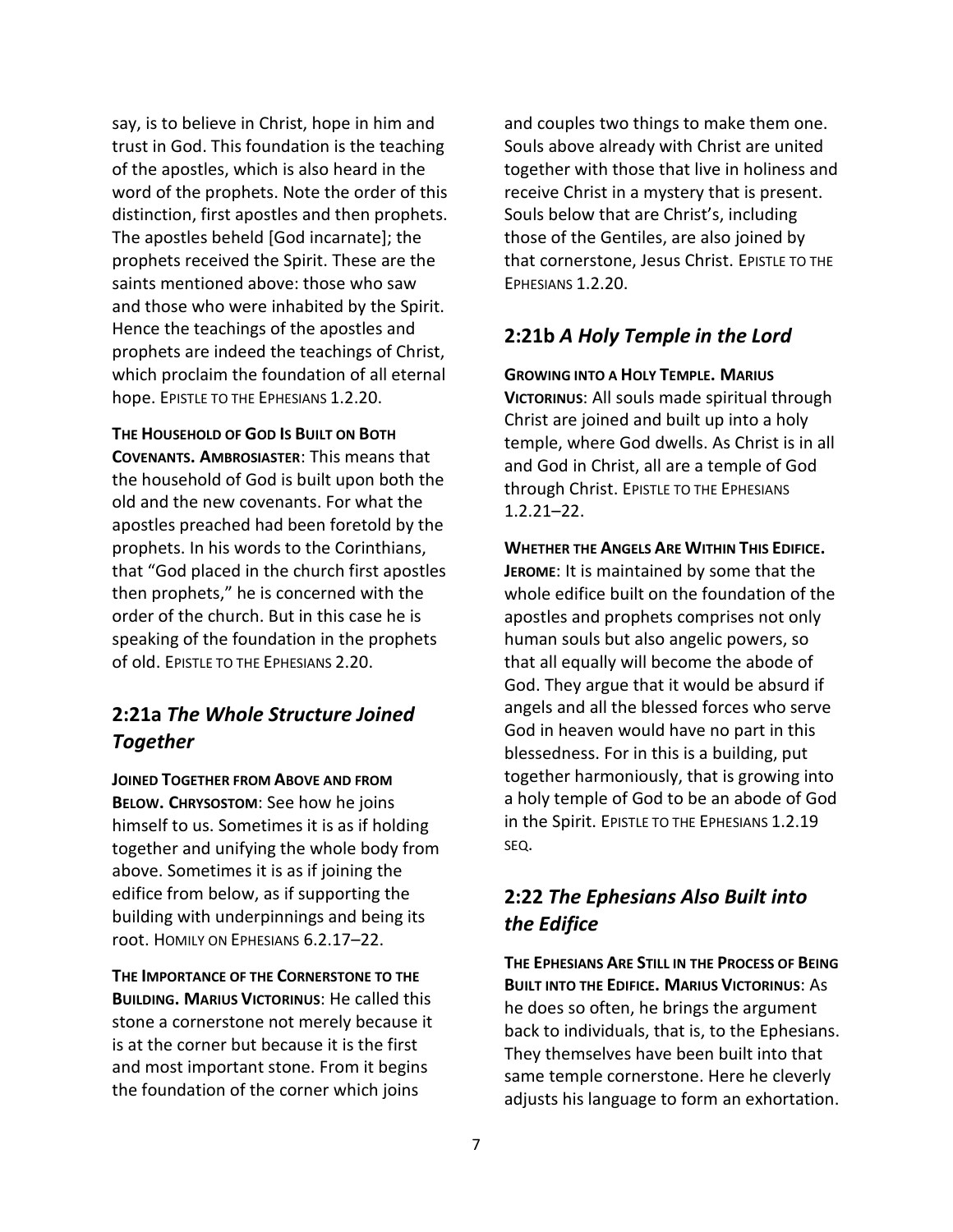say, is to believe in Christ, hope in him and trust in God. This foundation is the teaching of the apostles, which is also heard in the word of the prophets. Note the order of this distinction, first apostles and then prophets. The apostles beheld [God incarnate]; the prophets received the Spirit. These are the saints mentioned above: those who saw and those who were inhabited by the Spirit. Hence the teachings of the apostles and prophets are indeed the teachings of Christ, which proclaim the foundation of all eternal hope. EPISTLE TO THE EPHESIANS 1.2.20.

**THE HOUSEHOLD OF GOD IS BUILT ON BOTH COVENANTS. AMBROSIASTER**: This means that the household of God is built upon both the old and the new covenants. For what the apostles preached had been foretold by the prophets. In his words to the Corinthians, that "God placed in the church first apostles then prophets," he is concerned with the order of the church. But in this case he is speaking of the foundation in the prophets of old. EPISTLE TO THE EPHESIANS 2.20.

#### **2:21a** *The Whole Structure Joined Together*

**JOINED TOGETHER FROM ABOVE AND FROM BELOW. CHRYSOSTOM**: See how he joins himself to us. Sometimes it is as if holding together and unifying the whole body from above. Sometimes it is as if joining the edifice from below, as if supporting the building with underpinnings and being its root. HOMILY ON EPHESIANS 6.2.17–22.

**THE IMPORTANCE OF THE CORNERSTONE TO THE BUILDING. MARIUS VICTORINUS**: He called this stone a cornerstone not merely because it is at the corner but because it is the first and most important stone. From it begins the foundation of the corner which joins

and couples two things to make them one. Souls above already with Christ are united together with those that live in holiness and receive Christ in a mystery that is present. Souls below that are Christ's, including those of the Gentiles, are also joined by that cornerstone, Jesus Christ. EPISTLE TO THE EPHESIANS 1.2.20.

## **2:21b** *A Holy Temple in the Lord*

**GROWING INTO A HOLY TEMPLE. MARIUS VICTORINUS**: All souls made spiritual through Christ are joined and built up into a holy temple, where God dwells. As Christ is in all and God in Christ, all are a temple of God through Christ. EPISTLE TO THE EPHESIANS 1.2.21–22.

**WHETHER THE ANGELS ARE WITHIN THIS EDIFICE. JEROME**: It is maintained by some that the whole edifice built on the foundation of the apostles and prophets comprises not only human souls but also angelic powers, so that all equally will become the abode of God. They argue that it would be absurd if angels and all the blessed forces who serve God in heaven would have no part in this blessedness. For in this is a building, put together harmoniously, that is growing into a holy temple of God to be an abode of God in the Spirit. EPISTLE TO THE EPHESIANS 1.2.19 SEQ.

# **2:22** *The Ephesians Also Built into the Edifice*

**THE EPHESIANS ARE STILL IN THE PROCESS OF BEING BUILT INTO THE EDIFICE. MARIUS VICTORINUS**: As he does so often, he brings the argument back to individuals, that is, to the Ephesians. They themselves have been built into that same temple cornerstone. Here he cleverly adjusts his language to form an exhortation.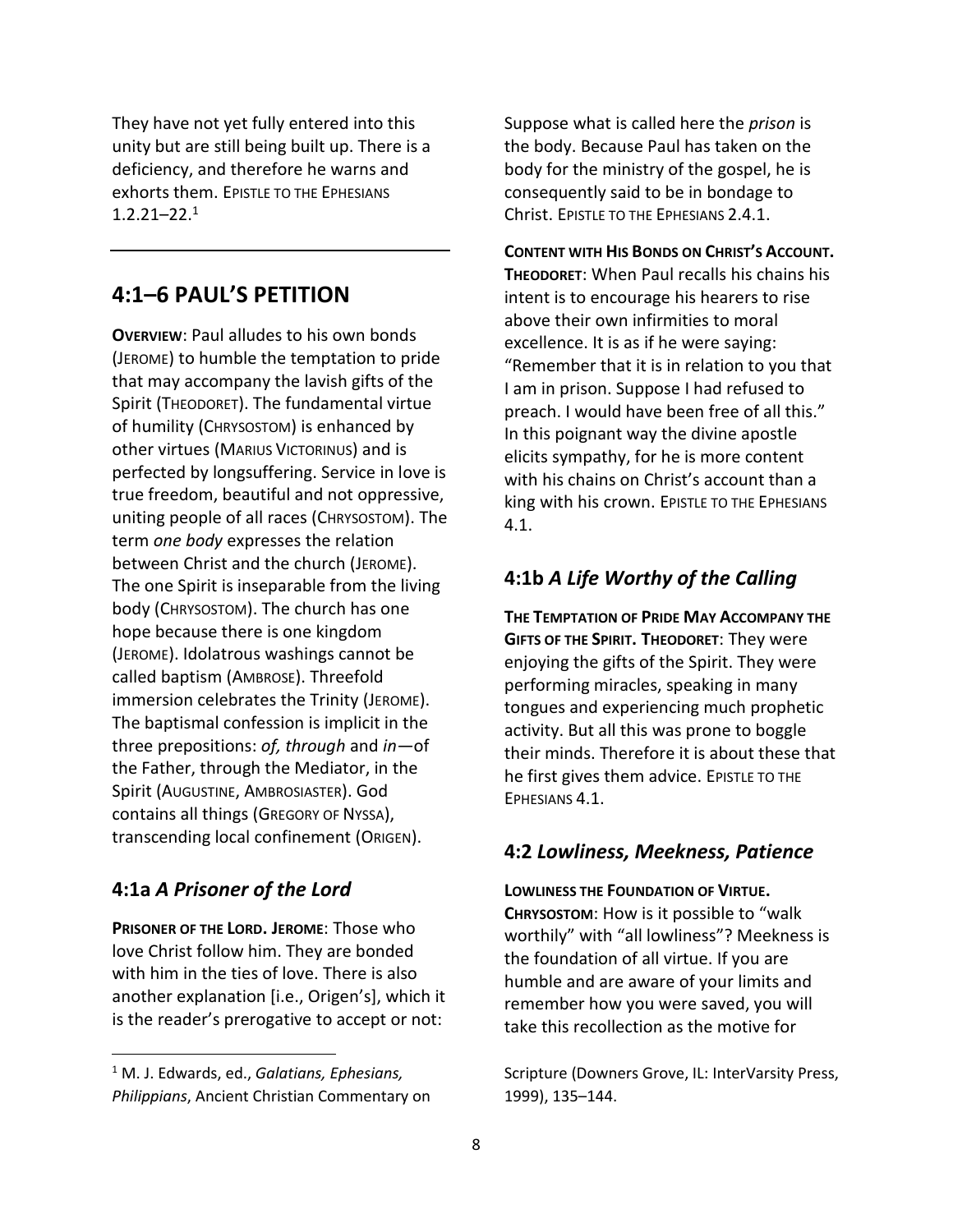They have not yet fully entered into this unity but are still being built up. There is a deficiency, and therefore he warns and exhorts them. EPISTLE TO THE EPHESIANS  $1.2.21 - 22.1$ 

## **4:1–6 PAUL'S PETITION**

**OVERVIEW**: Paul alludes to his own bonds (JEROME) to humble the temptation to pride that may accompany the lavish gifts of the Spirit (THEODORET). The fundamental virtue of humility (CHRYSOSTOM) is enhanced by other virtues (MARIUS VICTORINUS) and is perfected by longsuffering. Service in love is true freedom, beautiful and not oppressive, uniting people of all races (CHRYSOSTOM). The term *one body* expresses the relation between Christ and the church (JEROME). The one Spirit is inseparable from the living body (CHRYSOSTOM). The church has one hope because there is one kingdom (JEROME). Idolatrous washings cannot be called baptism (AMBROSE). Threefold immersion celebrates the Trinity (JEROME). The baptismal confession is implicit in the three prepositions: *of, through* and *in—*of the Father, through the Mediator, in the Spirit (AUGUSTINE, AMBROSIASTER). God contains all things (GREGORY OF NYSSA), transcending local confinement (ORIGEN).

#### **4:1a** *A Prisoner of the Lord*

 $\overline{a}$ 

**PRISONER OF THE LORD. JEROME**: Those who love Christ follow him. They are bonded with him in the ties of love. There is also another explanation [i.e., Origen's], which it is the reader's prerogative to accept or not:

Suppose what is called here the *prison* is the body. Because Paul has taken on the body for the ministry of the gospel, he is consequently said to be in bondage to Christ. EPISTLE TO THE EPHESIANS 2.4.1.

**CONTENT WITH HIS BONDS ON CHRIST'S ACCOUNT.** 

**THEODORET**: When Paul recalls his chains his intent is to encourage his hearers to rise above their own infirmities to moral excellence. It is as if he were saying: "Remember that it is in relation to you that I am in prison. Suppose I had refused to preach. I would have been free of all this." In this poignant way the divine apostle elicits sympathy, for he is more content with his chains on Christ's account than a king with his crown. EPISTLE TO THE EPHESIANS 4.1.

#### **4:1b** *A Life Worthy of the Calling*

**THE TEMPTATION OF PRIDE MAY ACCOMPANY THE GIFTS OF THE SPIRIT. THEODORET**: They were enjoying the gifts of the Spirit. They were performing miracles, speaking in many tongues and experiencing much prophetic activity. But all this was prone to boggle their minds. Therefore it is about these that he first gives them advice. EPISTLE TO THE EPHESIANS 4.1.

#### **4:2** *Lowliness, Meekness, Patience*

**LOWLINESS THE FOUNDATION OF VIRTUE. CHRYSOSTOM**: How is it possible to "walk worthily" with "all lowliness"? Meekness is the foundation of all virtue. If you are humble and are aware of your limits and remember how you were saved, you will take this recollection as the motive for

Scripture (Downers Grove, IL: InterVarsity Press, 1999), 135–144.

<sup>1</sup> M. J. Edwards, ed., *Galatians, Ephesians, Philippians*, Ancient Christian Commentary on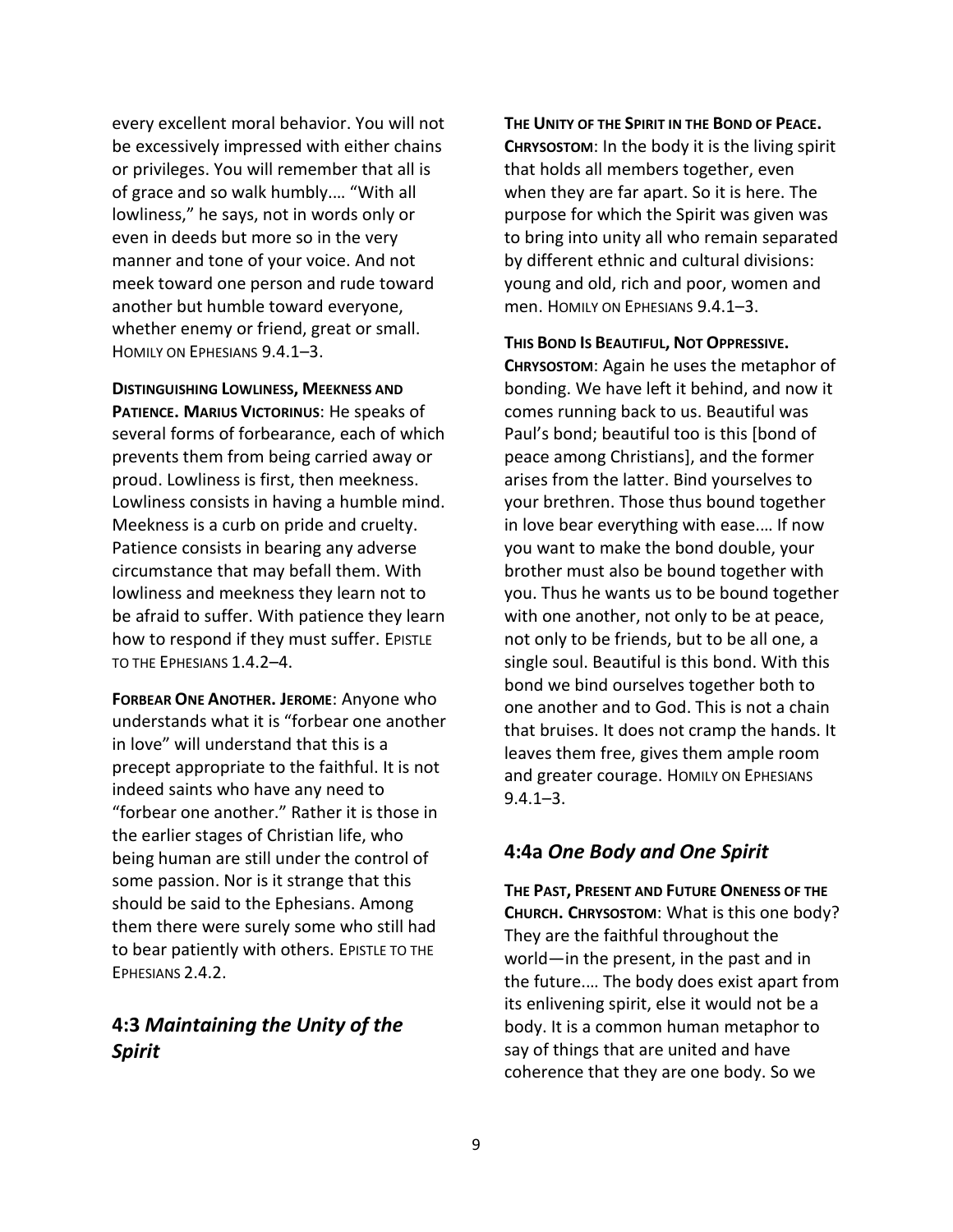every excellent moral behavior. You will not be excessively impressed with either chains or privileges. You will remember that all is of grace and so walk humbly.… "With all lowliness," he says, not in words only or even in deeds but more so in the very manner and tone of your voice. And not meek toward one person and rude toward another but humble toward everyone, whether enemy or friend, great or small. HOMILY ON EPHESIANS 9.4.1–3.

**DISTINGUISHING LOWLINESS, MEEKNESS AND PATIENCE. MARIUS VICTORINUS**: He speaks of several forms of forbearance, each of which prevents them from being carried away or proud. Lowliness is first, then meekness. Lowliness consists in having a humble mind. Meekness is a curb on pride and cruelty. Patience consists in bearing any adverse circumstance that may befall them. With lowliness and meekness they learn not to be afraid to suffer. With patience they learn how to respond if they must suffer. EPISTLE TO THE EPHESIANS 1.4.2–4.

**FORBEAR ONE ANOTHER. JEROME**: Anyone who understands what it is "forbear one another in love" will understand that this is a precept appropriate to the faithful. It is not indeed saints who have any need to "forbear one another." Rather it is those in the earlier stages of Christian life, who being human are still under the control of some passion. Nor is it strange that this should be said to the Ephesians. Among them there were surely some who still had to bear patiently with others. EPISTLE TO THE EPHESIANS 2.4.2.

## **4:3** *Maintaining the Unity of the Spirit*

**THE UNITY OF THE SPIRIT IN THE BOND OF PEACE. CHRYSOSTOM**: In the body it is the living spirit that holds all members together, even when they are far apart. So it is here. The purpose for which the Spirit was given was to bring into unity all who remain separated by different ethnic and cultural divisions: young and old, rich and poor, women and men. HOMILY ON EPHESIANS 9.4.1–3.

**THIS BOND IS BEAUTIFUL, NOT OPPRESSIVE. CHRYSOSTOM**: Again he uses the metaphor of bonding. We have left it behind, and now it comes running back to us. Beautiful was Paul's bond; beautiful too is this [bond of peace among Christians], and the former arises from the latter. Bind yourselves to your brethren. Those thus bound together in love bear everything with ease.… If now you want to make the bond double, your brother must also be bound together with you. Thus he wants us to be bound together with one another, not only to be at peace, not only to be friends, but to be all one, a single soul. Beautiful is this bond. With this bond we bind ourselves together both to one another and to God. This is not a chain that bruises. It does not cramp the hands. It leaves them free, gives them ample room and greater courage. HOMILY ON EPHESIANS 9.4.1–3.

#### **4:4a** *One Body and One Spirit*

**THE PAST, PRESENT AND FUTURE ONENESS OF THE CHURCH. CHRYSOSTOM**: What is this one body? They are the faithful throughout the world—in the present, in the past and in the future.… The body does exist apart from its enlivening spirit, else it would not be a body. It is a common human metaphor to say of things that are united and have coherence that they are one body. So we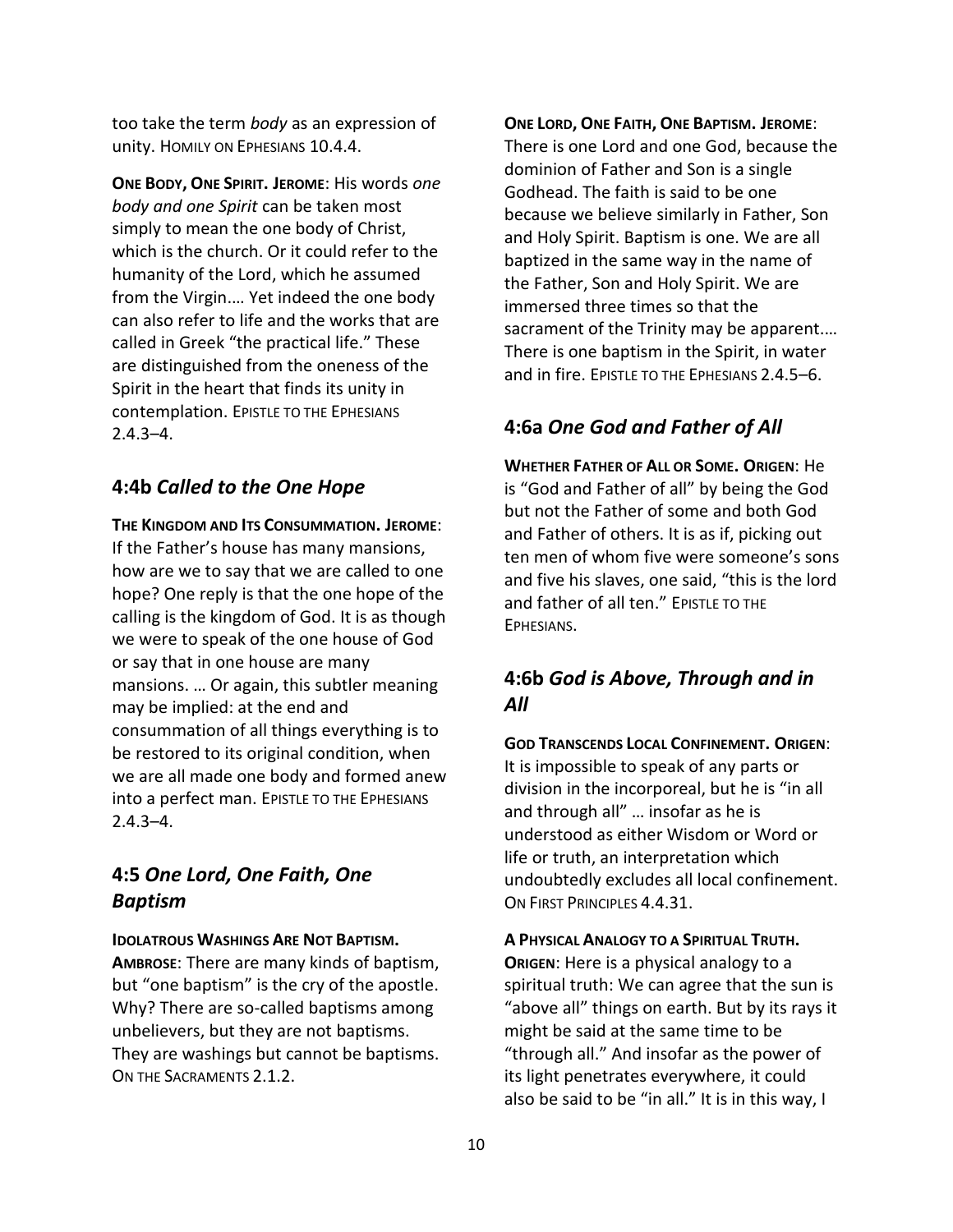too take the term *body* as an expression of unity. HOMILY ON EPHESIANS 10.4.4.

**ONE BODY, ONE SPIRIT. JEROME**: His words *one body and one Spirit* can be taken most simply to mean the one body of Christ, which is the church. Or it could refer to the humanity of the Lord, which he assumed from the Virgin.… Yet indeed the one body can also refer to life and the works that are called in Greek "the practical life." These are distinguished from the oneness of the Spirit in the heart that finds its unity in contemplation. EPISTLE TO THE EPHESIANS 2.4.3–4.

#### **4:4b** *Called to the One Hope*

**THE KINGDOM AND ITS CONSUMMATION. JEROME**: If the Father's house has many mansions, how are we to say that we are called to one hope? One reply is that the one hope of the calling is the kingdom of God. It is as though we were to speak of the one house of God or say that in one house are many mansions. … Or again, this subtler meaning may be implied: at the end and consummation of all things everything is to be restored to its original condition, when we are all made one body and formed anew into a perfect man. EPISTLE TO THE EPHESIANS  $2.4.3 - 4.$ 

## **4:5** *One Lord, One Faith, One Baptism*

**IDOLATROUS WASHINGS ARE NOT BAPTISM. AMBROSE**: There are many kinds of baptism, but "one baptism" is the cry of the apostle. Why? There are so-called baptisms among unbelievers, but they are not baptisms. They are washings but cannot be baptisms. ON THE SACRAMENTS 2.1.2.

**ONE LORD, ONE FAITH, ONE BAPTISM. JEROME**: There is one Lord and one God, because the dominion of Father and Son is a single Godhead. The faith is said to be one because we believe similarly in Father, Son and Holy Spirit. Baptism is one. We are all baptized in the same way in the name of the Father, Son and Holy Spirit. We are immersed three times so that the sacrament of the Trinity may be apparent.… There is one baptism in the Spirit, in water and in fire. EPISTLE TO THE EPHESIANS 2.4.5–6.

## **4:6a** *One God and Father of All*

**WHETHER FATHER OF ALL OR SOME. ORIGEN**: He is "God and Father of all" by being the God but not the Father of some and both God and Father of others. It is as if, picking out ten men of whom five were someone's sons and five his slaves, one said, "this is the lord and father of all ten." EPISTLE TO THE EPHESIANS.

# **4:6b** *God is Above, Through and in All*

**GOD TRANSCENDS LOCAL CONFINEMENT. ORIGEN**: It is impossible to speak of any parts or division in the incorporeal, but he is "in all and through all" … insofar as he is understood as either Wisdom or Word or life or truth, an interpretation which undoubtedly excludes all local confinement. ON FIRST PRINCIPLES 4.4.31.

**A PHYSICAL ANALOGY TO A SPIRITUAL TRUTH. ORIGEN**: Here is a physical analogy to a spiritual truth: We can agree that the sun is "above all" things on earth. But by its rays it might be said at the same time to be "through all." And insofar as the power of its light penetrates everywhere, it could also be said to be "in all." It is in this way, I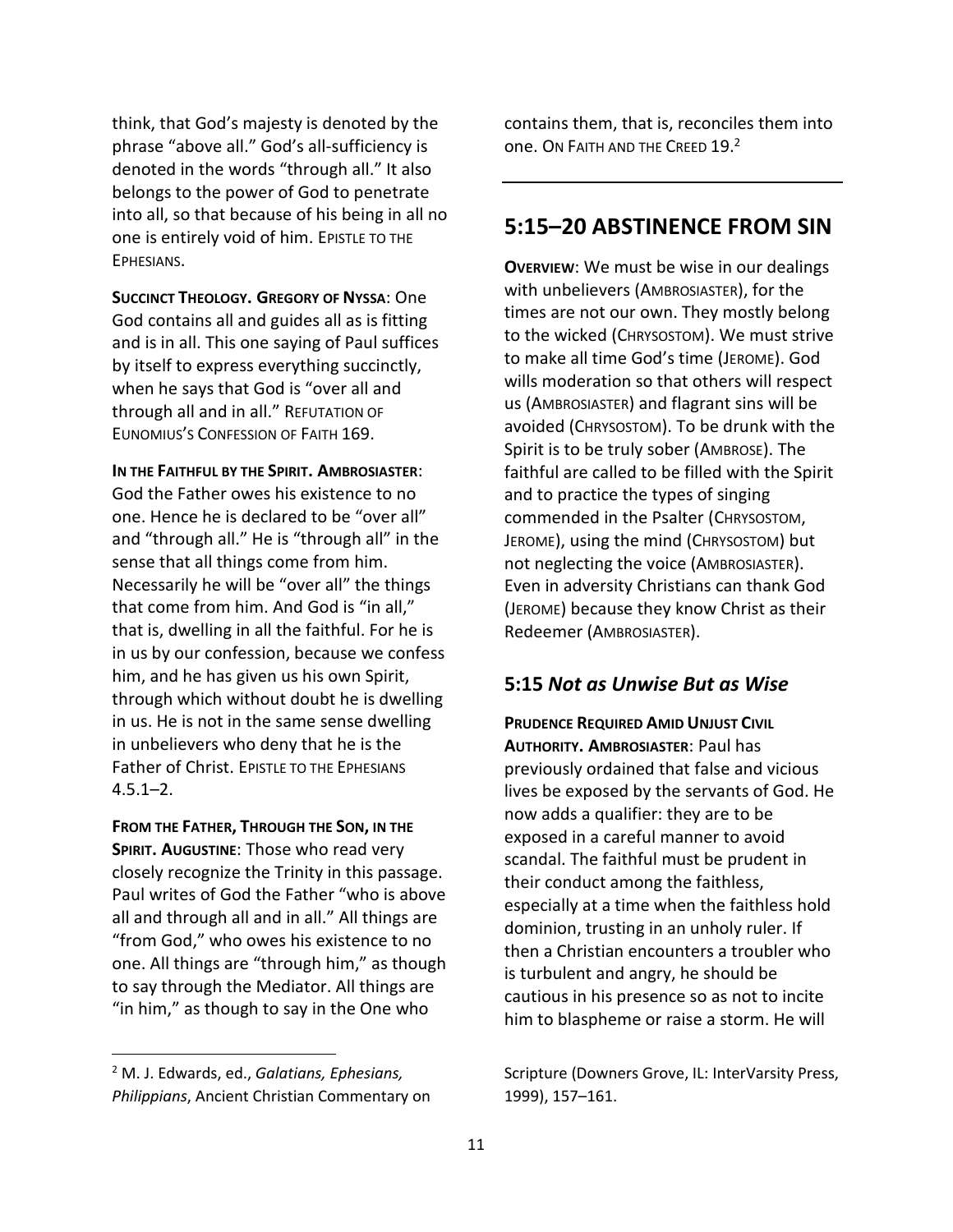think, that God's majesty is denoted by the phrase "above all." God's all-sufficiency is denoted in the words "through all." It also belongs to the power of God to penetrate into all, so that because of his being in all no one is entirely void of him. EPISTLE TO THE EPHESIANS.

**SUCCINCT THEOLOGY. GREGORY OF NYSSA**: One God contains all and guides all as is fitting and is in all. This one saying of Paul suffices by itself to express everything succinctly, when he says that God is "over all and through all and in all." REFUTATION OF EUNOMIUS'S CONFESSION OF FAITH 169.

**IN THE FAITHFUL BY THE SPIRIT. AMBROSIASTER**:

God the Father owes his existence to no one. Hence he is declared to be "over all" and "through all." He is "through all" in the sense that all things come from him. Necessarily he will be "over all" the things that come from him. And God is "in all," that is, dwelling in all the faithful. For he is in us by our confession, because we confess him, and he has given us his own Spirit, through which without doubt he is dwelling in us. He is not in the same sense dwelling in unbelievers who deny that he is the Father of Christ. EPISTLE TO THE EPHESIANS  $4.5.1 - 2.$ 

**FROM THE FATHER, THROUGH THE SON, IN THE SPIRIT. AUGUSTINE**: Those who read very closely recognize the Trinity in this passage. Paul writes of God the Father "who is above all and through all and in all." All things are "from God," who owes his existence to no one. All things are "through him," as though to say through the Mediator. All things are "in him," as though to say in the One who

 $\overline{a}$ 

contains them, that is, reconciles them into ONE. ON FAITH AND THE CREED 19.<sup>2</sup>

#### **5:15–20 ABSTINENCE FROM SIN**

**OVERVIEW**: We must be wise in our dealings with unbelievers (AMBROSIASTER), for the times are not our own. They mostly belong to the wicked (CHRYSOSTOM). We must strive to make all time God's time (JEROME). God wills moderation so that others will respect us (AMBROSIASTER) and flagrant sins will be avoided (CHRYSOSTOM). To be drunk with the Spirit is to be truly sober (AMBROSE). The faithful are called to be filled with the Spirit and to practice the types of singing commended in the Psalter (CHRYSOSTOM, JEROME), using the mind (CHRYSOSTOM) but not neglecting the voice (AMBROSIASTER). Even in adversity Christians can thank God (JEROME) because they know Christ as their Redeemer (AMBROSIASTER).

#### **5:15** *Not as Unwise But as Wise*

**PRUDENCE REQUIRED AMID UNJUST CIVIL AUTHORITY. AMBROSIASTER**: Paul has previously ordained that false and vicious lives be exposed by the servants of God. He now adds a qualifier: they are to be exposed in a careful manner to avoid scandal. The faithful must be prudent in their conduct among the faithless, especially at a time when the faithless hold dominion, trusting in an unholy ruler. If then a Christian encounters a troubler who is turbulent and angry, he should be cautious in his presence so as not to incite him to blaspheme or raise a storm. He will

Scripture (Downers Grove, IL: InterVarsity Press, 1999), 157–161.

<sup>2</sup> M. J. Edwards, ed., *Galatians, Ephesians, Philippians*, Ancient Christian Commentary on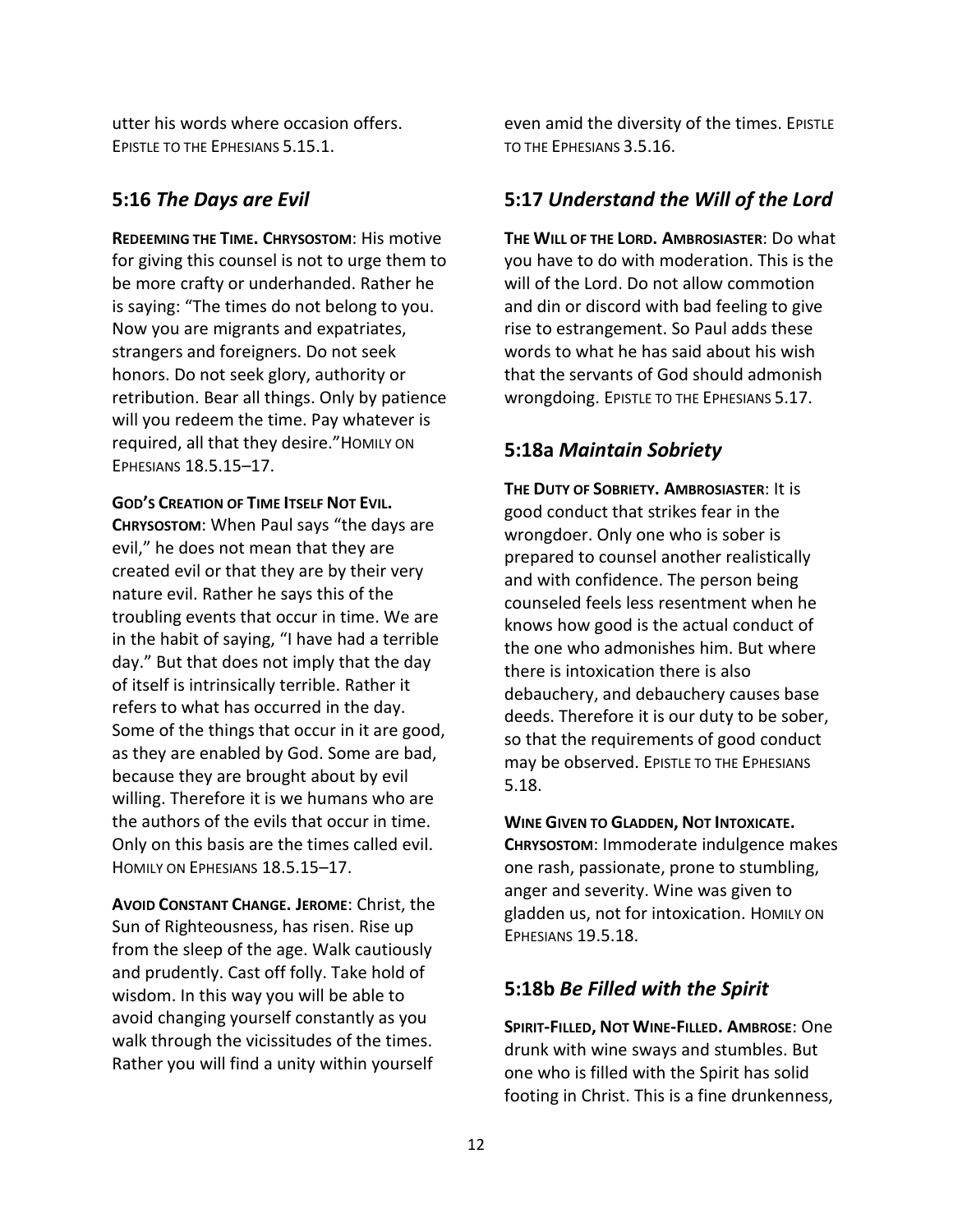utter his words where occasion offers. EPISTLE TO THE EPHESIANS 5.15.1.

#### **5:16** *The Days are Evil*

**REDEEMING THE TIME. CHRYSOSTOM**: His motive for giving this counsel is not to urge them to be more crafty or underhanded. Rather he is saying: "The times do not belong to you. Now you are migrants and expatriates, strangers and foreigners. Do not seek honors. Do not seek glory, authority or retribution. Bear all things. Only by patience will you redeem the time. Pay whatever is required, all that they desire."HOMILY ON EPHESIANS 18.5.15–17.

**GOD'S CREATION OF TIME ITSELF NOT EVIL. CHRYSOSTOM**: When Paul says "the days are evil," he does not mean that they are created evil or that they are by their very nature evil. Rather he says this of the troubling events that occur in time. We are in the habit of saying, "I have had a terrible day." But that does not imply that the day of itself is intrinsically terrible. Rather it refers to what has occurred in the day. Some of the things that occur in it are good, as they are enabled by God. Some are bad, because they are brought about by evil willing. Therefore it is we humans who are the authors of the evils that occur in time. Only on this basis are the times called evil. HOMILY ON EPHESIANS 18.5.15–17.

**AVOID CONSTANT CHANGE. JEROME**: Christ, the Sun of Righteousness, has risen. Rise up from the sleep of the age. Walk cautiously and prudently. Cast off folly. Take hold of wisdom. In this way you will be able to avoid changing yourself constantly as you walk through the vicissitudes of the times. Rather you will find a unity within yourself

even amid the diversity of the times. EPISTLE TO THE EPHESIANS 3.5.16.

#### **5:17** *Understand the Will of the Lord*

**THE WILL OF THE LORD. AMBROSIASTER**: Do what you have to do with moderation. This is the will of the Lord. Do not allow commotion and din or discord with bad feeling to give rise to estrangement. So Paul adds these words to what he has said about his wish that the servants of God should admonish wrongdoing. EPISTLE TO THE EPHESIANS 5.17.

#### **5:18a** *Maintain Sobriety*

**THE DUTY OF SOBRIETY. AMBROSIASTER**: It is good conduct that strikes fear in the wrongdoer. Only one who is sober is prepared to counsel another realistically and with confidence. The person being counseled feels less resentment when he knows how good is the actual conduct of the one who admonishes him. But where there is intoxication there is also debauchery, and debauchery causes base deeds. Therefore it is our duty to be sober, so that the requirements of good conduct may be observed. EPISTLE TO THE EPHESIANS 5.18.

**WINE GIVEN TO GLADDEN, NOT INTOXICATE. CHRYSOSTOM**: Immoderate indulgence makes one rash, passionate, prone to stumbling, anger and severity. Wine was given to gladden us, not for intoxication. HOMILY ON EPHESIANS 19.5.18.

#### **5:18b** *Be Filled with the Spirit*

**SPIRIT-FILLED, NOT WINE-FILLED. AMBROSE**: One drunk with wine sways and stumbles. But one who is filled with the Spirit has solid footing in Christ. This is a fine drunkenness,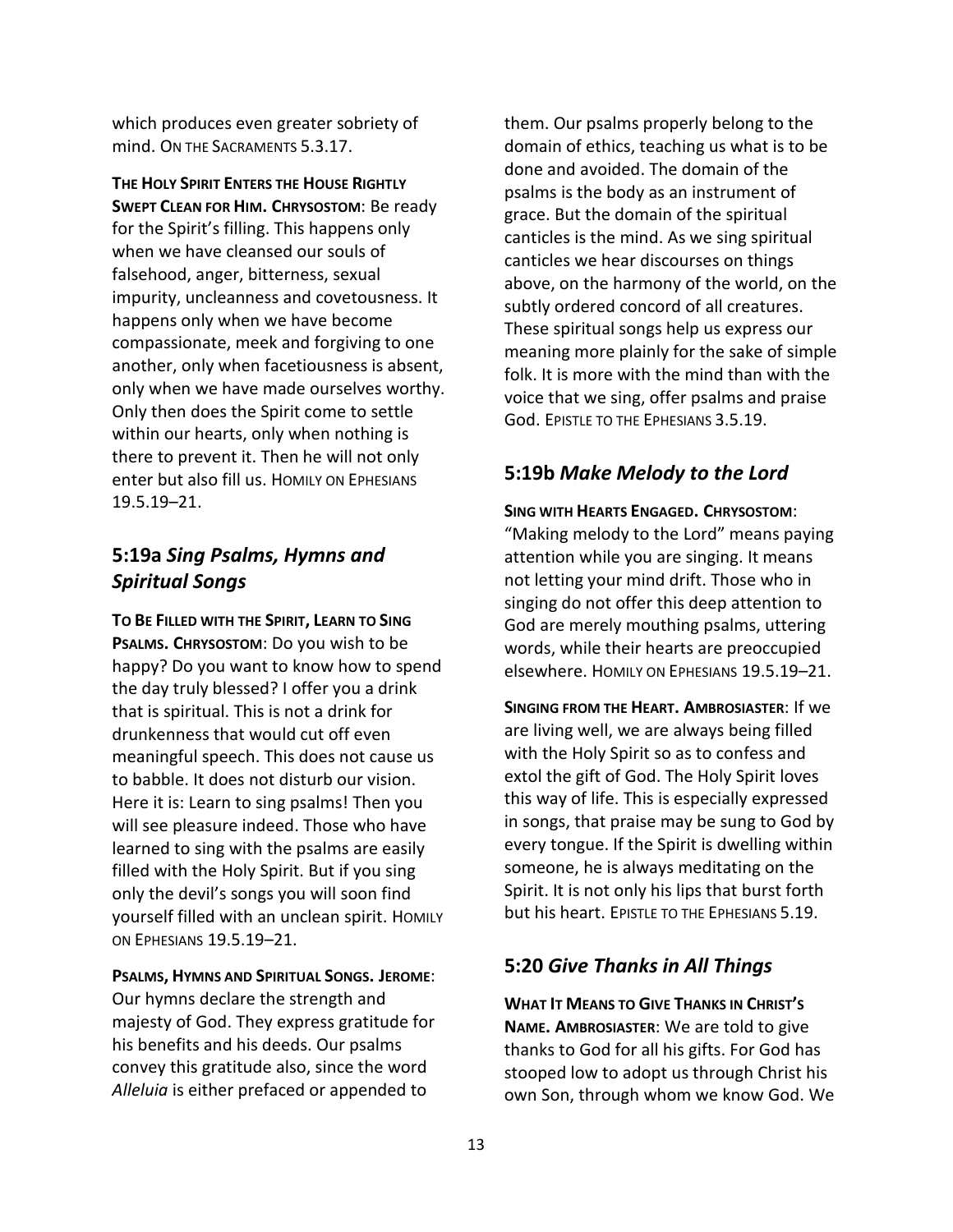which produces even greater sobriety of mind. ON THE SACRAMENTS 5.3.17.

**THE HOLY SPIRIT ENTERS THE HOUSE RIGHTLY SWEPT CLEAN FOR HIM. CHRYSOSTOM**: Be ready for the Spirit's filling. This happens only when we have cleansed our souls of falsehood, anger, bitterness, sexual impurity, uncleanness and covetousness. It happens only when we have become compassionate, meek and forgiving to one another, only when facetiousness is absent, only when we have made ourselves worthy. Only then does the Spirit come to settle within our hearts, only when nothing is there to prevent it. Then he will not only enter but also fill us. HOMILY ON EPHESIANS 19.5.19–21.

## **5:19a** *Sing Psalms, Hymns and Spiritual Songs*

**TO BE FILLED WITH THE SPIRIT, LEARN TO SING PSALMS. CHRYSOSTOM**: Do you wish to be happy? Do you want to know how to spend the day truly blessed? I offer you a drink that is spiritual. This is not a drink for drunkenness that would cut off even meaningful speech. This does not cause us to babble. It does not disturb our vision. Here it is: Learn to sing psalms! Then you will see pleasure indeed. Those who have learned to sing with the psalms are easily filled with the Holy Spirit. But if you sing only the devil's songs you will soon find yourself filled with an unclean spirit. HOMILY ON EPHESIANS 19.5.19–21.

**PSALMS, HYMNS AND SPIRITUAL SONGS. JEROME**: Our hymns declare the strength and majesty of God. They express gratitude for his benefits and his deeds. Our psalms convey this gratitude also, since the word *Alleluia* is either prefaced or appended to

them. Our psalms properly belong to the domain of ethics, teaching us what is to be done and avoided. The domain of the psalms is the body as an instrument of grace. But the domain of the spiritual canticles is the mind. As we sing spiritual canticles we hear discourses on things above, on the harmony of the world, on the subtly ordered concord of all creatures. These spiritual songs help us express our meaning more plainly for the sake of simple folk. It is more with the mind than with the voice that we sing, offer psalms and praise God. EPISTLE TO THE EPHESIANS 3.5.19.

## **5:19b** *Make Melody to the Lord*

**SING WITH HEARTS ENGAGED. CHRYSOSTOM**: "Making melody to the Lord" means paying attention while you are singing. It means not letting your mind drift. Those who in singing do not offer this deep attention to God are merely mouthing psalms, uttering words, while their hearts are preoccupied elsewhere. HOMILY ON EPHESIANS 19.5.19–21.

**SINGING FROM THE HEART. AMBROSIASTER**: If we are living well, we are always being filled with the Holy Spirit so as to confess and extol the gift of God. The Holy Spirit loves this way of life. This is especially expressed in songs, that praise may be sung to God by every tongue. If the Spirit is dwelling within someone, he is always meditating on the Spirit. It is not only his lips that burst forth but his heart. EPISTLE TO THE EPHESIANS 5.19.

## **5:20** *Give Thanks in All Things*

**WHAT IT MEANS TO GIVE THANKS IN CHRIST'S NAME. AMBROSIASTER**: We are told to give thanks to God for all his gifts. For God has stooped low to adopt us through Christ his own Son, through whom we know God. We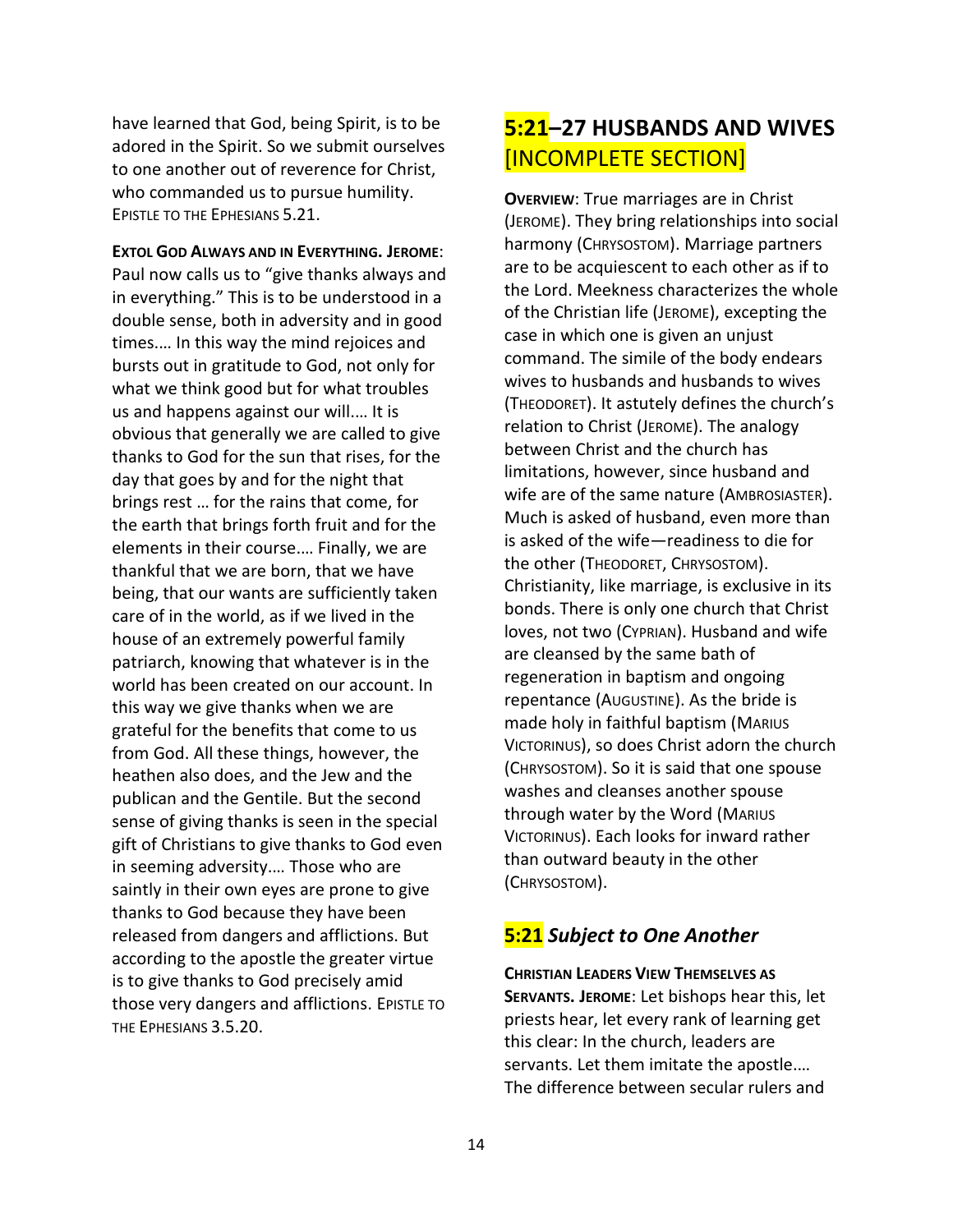have learned that God, being Spirit, is to be adored in the Spirit. So we submit ourselves to one another out of reverence for Christ, who commanded us to pursue humility. EPISTLE TO THE EPHESIANS 5.21.

**EXTOL GOD ALWAYS AND IN EVERYTHING. JEROME**: Paul now calls us to "give thanks always and in everything." This is to be understood in a double sense, both in adversity and in good times.… In this way the mind rejoices and bursts out in gratitude to God, not only for what we think good but for what troubles us and happens against our will.… It is obvious that generally we are called to give thanks to God for the sun that rises, for the day that goes by and for the night that brings rest … for the rains that come, for the earth that brings forth fruit and for the elements in their course.… Finally, we are thankful that we are born, that we have being, that our wants are sufficiently taken care of in the world, as if we lived in the house of an extremely powerful family patriarch, knowing that whatever is in the world has been created on our account. In this way we give thanks when we are grateful for the benefits that come to us from God. All these things, however, the heathen also does, and the Jew and the publican and the Gentile. But the second sense of giving thanks is seen in the special gift of Christians to give thanks to God even in seeming adversity.… Those who are saintly in their own eyes are prone to give thanks to God because they have been released from dangers and afflictions. But according to the apostle the greater virtue is to give thanks to God precisely amid those very dangers and afflictions. EPISTLE TO THE EPHESIANS 3.5.20.

# **5:21–27 HUSBANDS AND WIVES** [INCOMPLETE SECTION]

**OVERVIEW**: True marriages are in Christ (JEROME). They bring relationships into social harmony (CHRYSOSTOM). Marriage partners are to be acquiescent to each other as if to the Lord. Meekness characterizes the whole of the Christian life (JEROME), excepting the case in which one is given an unjust command. The simile of the body endears wives to husbands and husbands to wives (THEODORET). It astutely defines the church's relation to Christ (JEROME). The analogy between Christ and the church has limitations, however, since husband and wife are of the same nature (AMBROSIASTER). Much is asked of husband, even more than is asked of the wife—readiness to die for the other (THEODORET, CHRYSOSTOM). Christianity, like marriage, is exclusive in its bonds. There is only one church that Christ loves, not two (CYPRIAN). Husband and wife are cleansed by the same bath of regeneration in baptism and ongoing repentance (AUGUSTINE). As the bride is made holy in faithful baptism (MARIUS VICTORINUS), so does Christ adorn the church (CHRYSOSTOM). So it is said that one spouse washes and cleanses another spouse through water by the Word (MARIUS VICTORINUS). Each looks for inward rather than outward beauty in the other (CHRYSOSTOM).

#### **5:21** *Subject to One Another*

**CHRISTIAN LEADERS VIEW THEMSELVES AS SERVANTS. JEROME**: Let bishops hear this, let priests hear, let every rank of learning get this clear: In the church, leaders are servants. Let them imitate the apostle.… The difference between secular rulers and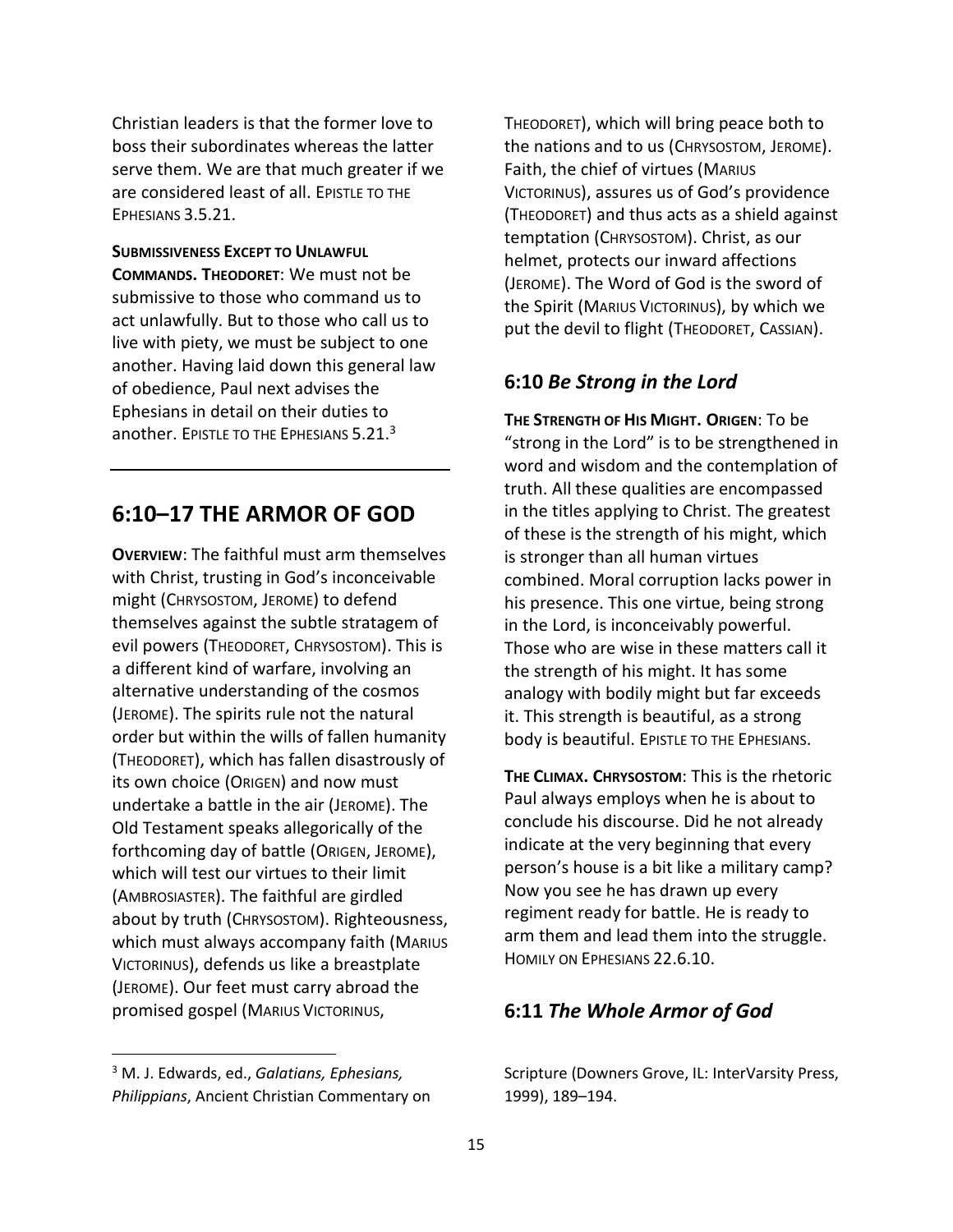Christian leaders is that the former love to boss their subordinates whereas the latter serve them. We are that much greater if we are considered least of all. EPISTLE TO THE EPHESIANS 3.5.21.

**SUBMISSIVENESS EXCEPT TO UNLAWFUL COMMANDS. THEODORET**: We must not be submissive to those who command us to act unlawfully. But to those who call us to live with piety, we must be subject to one another. Having laid down this general law of obedience, Paul next advises the Ephesians in detail on their duties to another. Epistle to the Ephesians  $5.21.^3$ 

## **6:10–17 THE ARMOR OF GOD**

**OVERVIEW**: The faithful must arm themselves with Christ, trusting in God's inconceivable might (CHRYSOSTOM, JEROME) to defend themselves against the subtle stratagem of evil powers (THEODORET, CHRYSOSTOM). This is a different kind of warfare, involving an alternative understanding of the cosmos (JEROME). The spirits rule not the natural order but within the wills of fallen humanity (THEODORET), which has fallen disastrously of its own choice (ORIGEN) and now must undertake a battle in the air (JEROME). The Old Testament speaks allegorically of the forthcoming day of battle (ORIGEN, JEROME), which will test our virtues to their limit (AMBROSIASTER). The faithful are girdled about by truth (CHRYSOSTOM). Righteousness, which must always accompany faith (MARIUS VICTORINUS), defends us like a breastplate (JEROME). Our feet must carry abroad the promised gospel (MARIUS VICTORINUS,

 $\overline{a}$ 

THEODORET), which will bring peace both to the nations and to us (CHRYSOSTOM, JEROME). Faith, the chief of virtues (MARIUS VICTORINUS), assures us of God's providence (THEODORET) and thus acts as a shield against temptation (CHRYSOSTOM). Christ, as our helmet, protects our inward affections (JEROME). The Word of God is the sword of the Spirit (MARIUS VICTORINUS), by which we put the devil to flight (THEODORET, CASSIAN).

#### **6:10** *Be Strong in the Lord*

**THE STRENGTH OF HIS MIGHT. ORIGEN**: To be "strong in the Lord" is to be strengthened in word and wisdom and the contemplation of truth. All these qualities are encompassed in the titles applying to Christ. The greatest of these is the strength of his might, which is stronger than all human virtues combined. Moral corruption lacks power in his presence. This one virtue, being strong in the Lord, is inconceivably powerful. Those who are wise in these matters call it the strength of his might. It has some analogy with bodily might but far exceeds it. This strength is beautiful, as a strong body is beautiful. EPISTLE TO THE EPHESIANS.

**THE CLIMAX. CHRYSOSTOM**: This is the rhetoric Paul always employs when he is about to conclude his discourse. Did he not already indicate at the very beginning that every person's house is a bit like a military camp? Now you see he has drawn up every regiment ready for battle. He is ready to arm them and lead them into the struggle. HOMILY ON EPHESIANS 22.6.10.

#### **6:11** *The Whole Armor of God*

Scripture (Downers Grove, IL: InterVarsity Press, 1999), 189–194.

<sup>3</sup> M. J. Edwards, ed., *Galatians, Ephesians, Philippians*, Ancient Christian Commentary on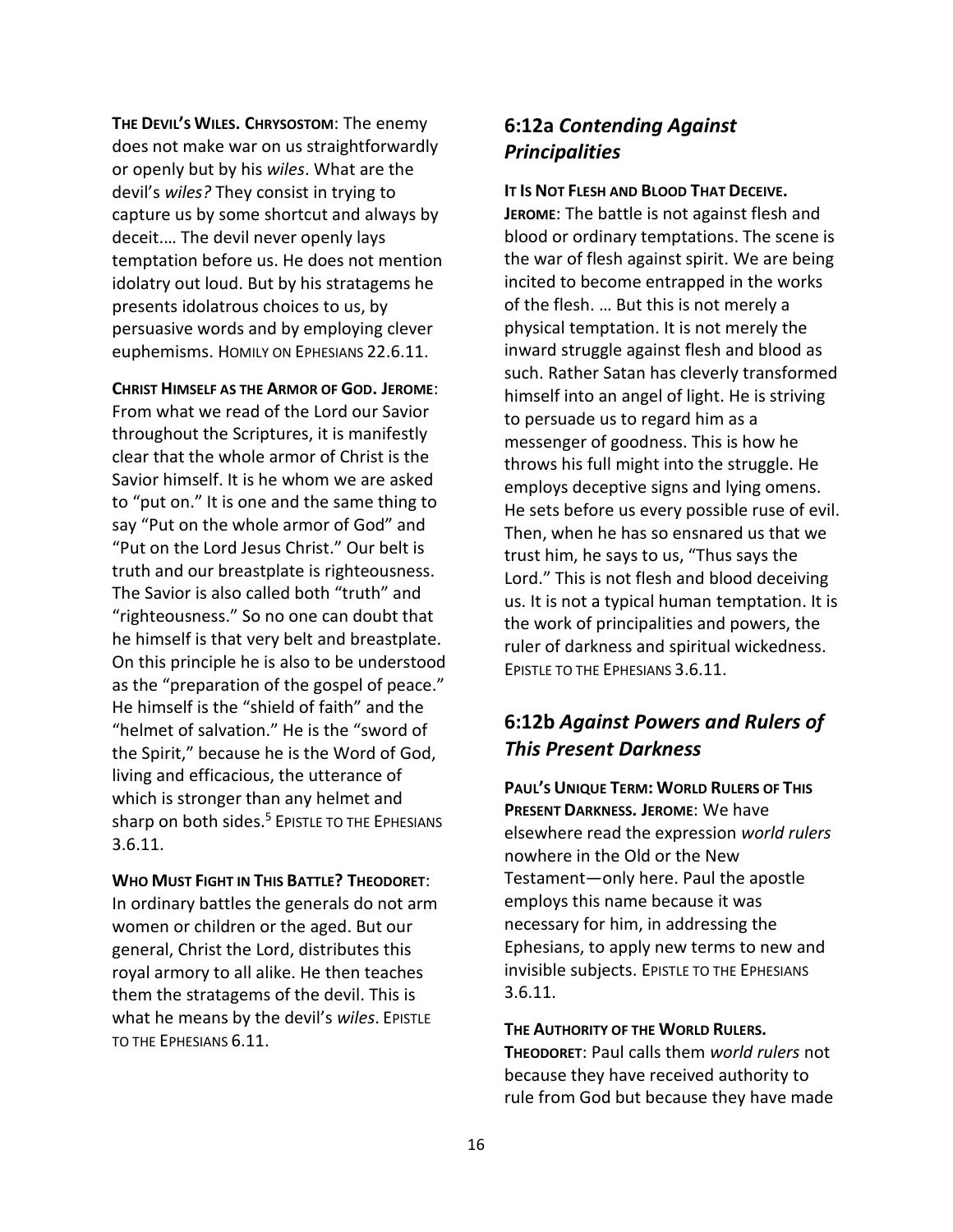**THE DEVIL'S WILES. CHRYSOSTOM**: The enemy does not make war on us straightforwardly or openly but by his *wiles*. What are the devil's *wiles?* They consist in trying to capture us by some shortcut and always by deceit.… The devil never openly lays temptation before us. He does not mention idolatry out loud. But by his stratagems he presents idolatrous choices to us, by persuasive words and by employing clever euphemisms. HOMILY ON EPHESIANS 22.6.11.

**CHRIST HIMSELF AS THE ARMOR OF GOD. JEROME**: From what we read of the Lord our Savior throughout the Scriptures, it is manifestly clear that the whole armor of Christ is the Savior himself. It is he whom we are asked to "put on." It is one and the same thing to say "Put on the whole armor of God" and "Put on the Lord Jesus Christ." Our belt is truth and our breastplate is righteousness. The Savior is also called both "truth" and "righteousness." So no one can doubt that he himself is that very belt and breastplate. On this principle he is also to be understood as the "preparation of the gospel of peace." He himself is the "shield of faith" and the "helmet of salvation." He is the "sword of the Spirit," because he is the Word of God, living and efficacious, the utterance of which is stronger than any helmet and sharp on both sides.<sup>5</sup> EPISTLE TO THE EPHESIANS 3.6.11.

#### **WHO MUST FIGHT IN THIS BATTLE? THEODORET**:

In ordinary battles the generals do not arm women or children or the aged. But our general, Christ the Lord, distributes this royal armory to all alike. He then teaches them the stratagems of the devil. This is what he means by the devil's *wiles*. EPISTLE TO THE EPHESIANS 6.11.

## **6:12a** *Contending Against Principalities*

**IT IS NOT FLESH AND BLOOD THAT DECEIVE. JEROME**: The battle is not against flesh and blood or ordinary temptations. The scene is the war of flesh against spirit. We are being incited to become entrapped in the works of the flesh. … But this is not merely a physical temptation. It is not merely the inward struggle against flesh and blood as such. Rather Satan has cleverly transformed himself into an angel of light. He is striving to persuade us to regard him as a messenger of goodness. This is how he throws his full might into the struggle. He employs deceptive signs and lying omens. He sets before us every possible ruse of evil. Then, when he has so ensnared us that we trust him, he says to us, "Thus says the Lord." This is not flesh and blood deceiving us. It is not a typical human temptation. It is the work of principalities and powers, the ruler of darkness and spiritual wickedness. EPISTLE TO THE EPHESIANS 3.6.11.

## **6:12b** *Against Powers and Rulers of This Present Darkness*

**PAUL'S UNIQUE TERM: WORLD RULERS OF THIS PRESENT DARKNESS. JEROME**: We have elsewhere read the expression *world rulers* nowhere in the Old or the New Testament—only here. Paul the apostle employs this name because it was necessary for him, in addressing the Ephesians, to apply new terms to new and invisible subjects. EPISTLE TO THE EPHESIANS 3.6.11.

#### **THE AUTHORITY OF THE WORLD RULERS.**

**THEODORET**: Paul calls them *world rulers* not because they have received authority to rule from God but because they have made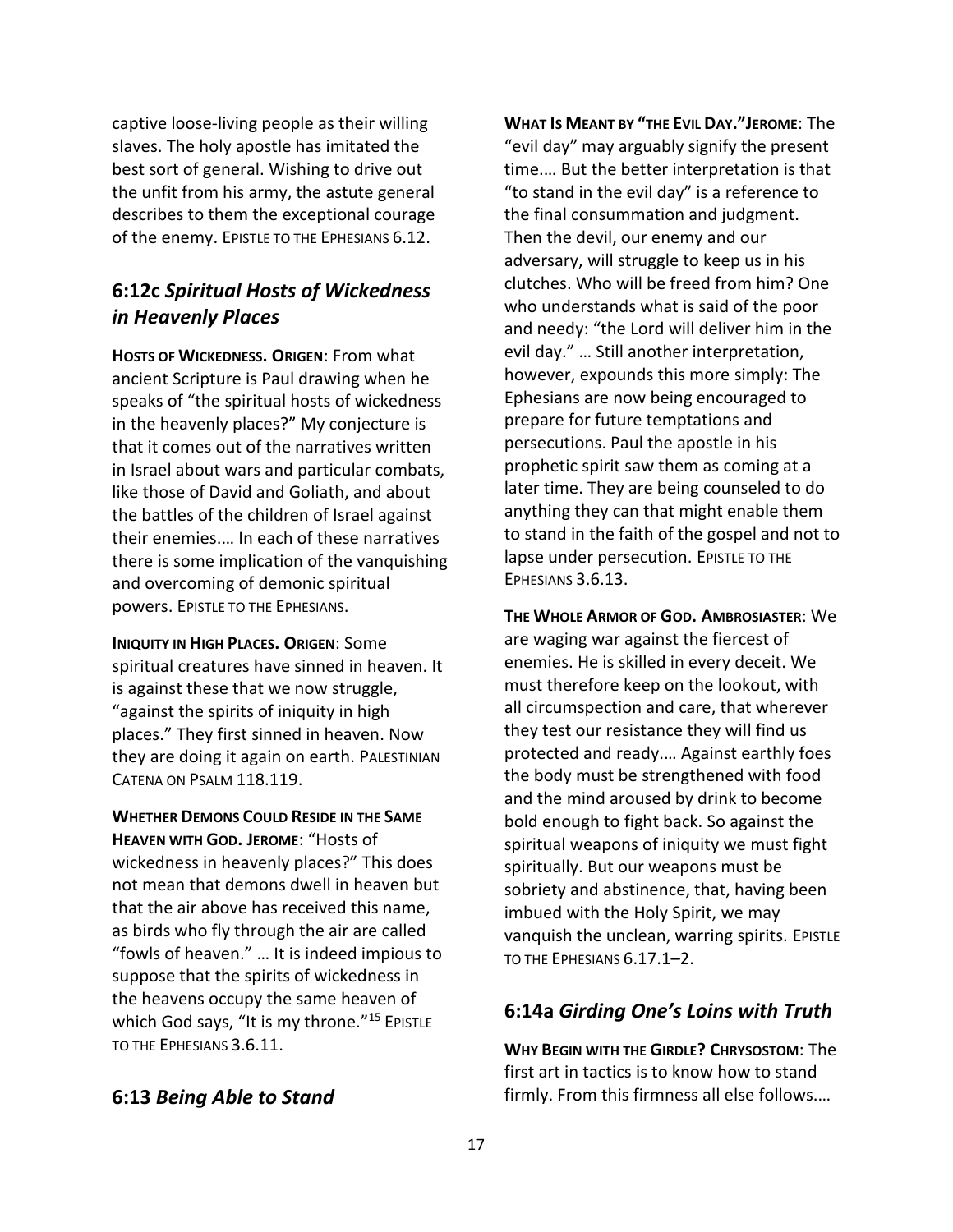captive loose-living people as their willing slaves. The holy apostle has imitated the best sort of general. Wishing to drive out the unfit from his army, the astute general describes to them the exceptional courage of the enemy. EPISTLE TO THE EPHESIANS 6.12.

## **6:12c** *Spiritual Hosts of Wickedness in Heavenly Places*

**HOSTS OF WICKEDNESS. ORIGEN**: From what ancient Scripture is Paul drawing when he speaks of "the spiritual hosts of wickedness in the heavenly places?" My conjecture is that it comes out of the narratives written in Israel about wars and particular combats, like those of David and Goliath, and about the battles of the children of Israel against their enemies.… In each of these narratives there is some implication of the vanquishing and overcoming of demonic spiritual powers. EPISTLE TO THE EPHESIANS.

**INIQUITY IN HIGH PLACES. ORIGEN**: Some spiritual creatures have sinned in heaven. It is against these that we now struggle, "against the spirits of iniquity in high places." They first sinned in heaven. Now they are doing it again on earth. PALESTINIAN CATENA ON PSALM 118.119.

**WHETHER DEMONS COULD RESIDE IN THE SAME HEAVEN WITH GOD. JEROME**: "Hosts of wickedness in heavenly places?" This does not mean that demons dwell in heaven but that the air above has received this name, as birds who fly through the air are called "fowls of heaven." … It is indeed impious to suppose that the spirits of wickedness in the heavens occupy the same heaven of which God says, "It is my throne."<sup>15</sup> EPISTLE TO THE EPHESIANS 3.6.11.

**6:13** *Being Able to Stand*

**WHAT IS MEANT BY "THE EVIL DAY."JEROME**: The "evil day" may arguably signify the present time.… But the better interpretation is that "to stand in the evil day" is a reference to the final consummation and judgment. Then the devil, our enemy and our adversary, will struggle to keep us in his clutches. Who will be freed from him? One who understands what is said of the poor and needy: "the Lord will deliver him in the evil day." … Still another interpretation, however, expounds this more simply: The Ephesians are now being encouraged to prepare for future temptations and persecutions. Paul the apostle in his prophetic spirit saw them as coming at a later time. They are being counseled to do anything they can that might enable them to stand in the faith of the gospel and not to lapse under persecution. EPISTLE TO THE EPHESIANS 3.6.13.

**THE WHOLE ARMOR OF GOD. AMBROSIASTER**: We are waging war against the fiercest of enemies. He is skilled in every deceit. We must therefore keep on the lookout, with all circumspection and care, that wherever they test our resistance they will find us protected and ready.… Against earthly foes the body must be strengthened with food and the mind aroused by drink to become bold enough to fight back. So against the spiritual weapons of iniquity we must fight spiritually. But our weapons must be sobriety and abstinence, that, having been imbued with the Holy Spirit, we may vanquish the unclean, warring spirits. EPISTLE TO THE EPHESIANS 6.17.1–2.

# **6:14a** *Girding One's Loins with Truth*

**WHY BEGIN WITH THE GIRDLE? CHRYSOSTOM**: The first art in tactics is to know how to stand firmly. From this firmness all else follows.…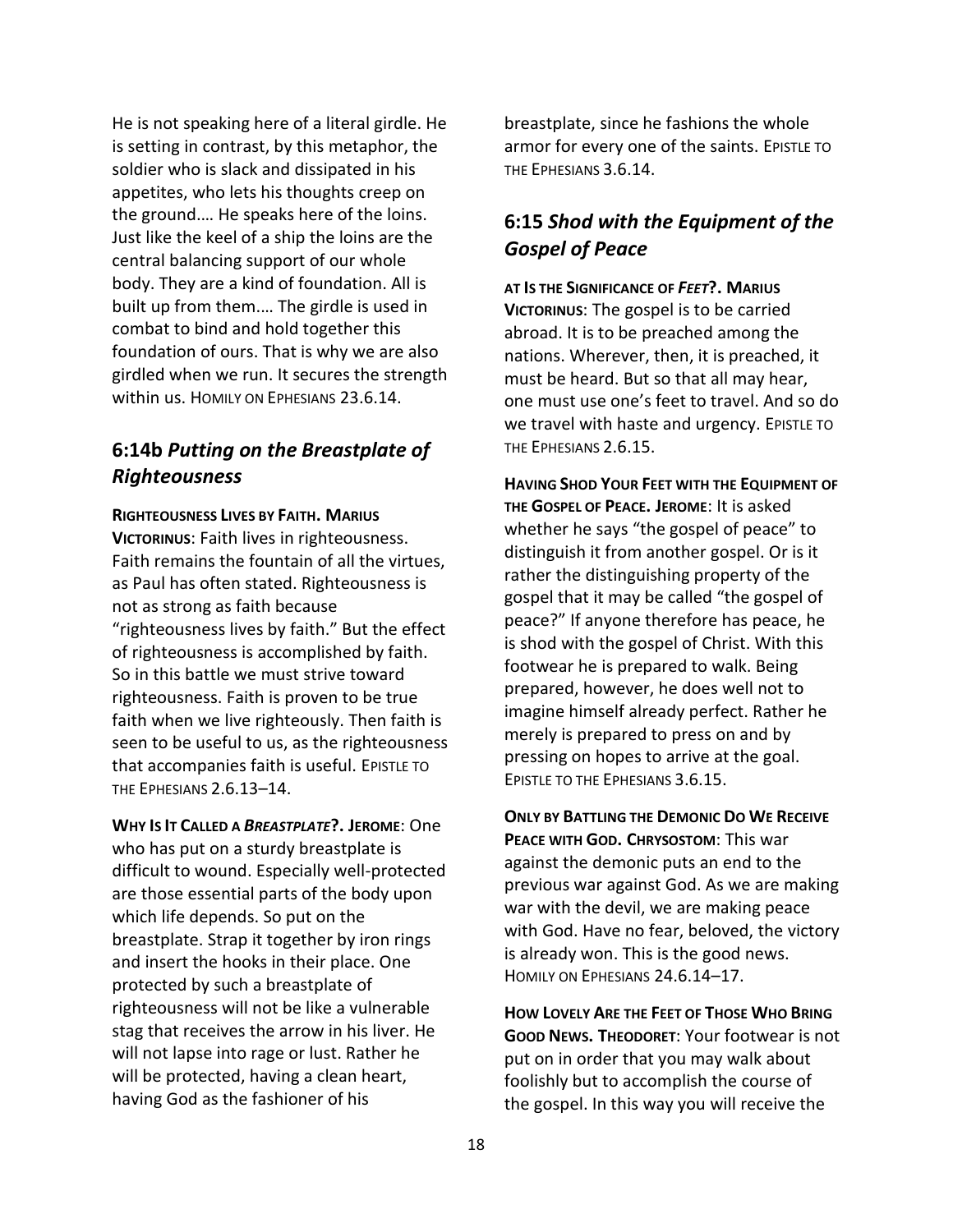He is not speaking here of a literal girdle. He is setting in contrast, by this metaphor, the soldier who is slack and dissipated in his appetites, who lets his thoughts creep on the ground.… He speaks here of the loins. Just like the keel of a ship the loins are the central balancing support of our whole body. They are a kind of foundation. All is built up from them.… The girdle is used in combat to bind and hold together this foundation of ours. That is why we are also girdled when we run. It secures the strength within us. HOMILY ON EPHESIANS 23.6.14.

## **6:14b** *Putting on the Breastplate of Righteousness*

**RIGHTEOUSNESS LIVES BY FAITH. MARIUS** 

**VICTORINUS**: Faith lives in righteousness. Faith remains the fountain of all the virtues, as Paul has often stated. Righteousness is not as strong as faith because "righteousness lives by faith." But the effect of righteousness is accomplished by faith. So in this battle we must strive toward righteousness. Faith is proven to be true faith when we live righteously. Then faith is seen to be useful to us, as the righteousness that accompanies faith is useful. EPISTLE TO THE EPHESIANS 2.6.13–14.

**WHY IS IT CALLED A** *BREASTPLATE***?. JEROME**: One who has put on a sturdy breastplate is difficult to wound. Especially well-protected are those essential parts of the body upon which life depends. So put on the breastplate. Strap it together by iron rings and insert the hooks in their place. One protected by such a breastplate of righteousness will not be like a vulnerable stag that receives the arrow in his liver. He will not lapse into rage or lust. Rather he will be protected, having a clean heart, having God as the fashioner of his

breastplate, since he fashions the whole armor for every one of the saints. EPISTLE TO THE EPHESIANS 3.6.14.

## **6:15** *Shod with the Equipment of the Gospel of Peace*

**AT IS THE SIGNIFICANCE OF** *FEET***?. MARIUS VICTORINUS**: The gospel is to be carried abroad. It is to be preached among the nations. Wherever, then, it is preached, it must be heard. But so that all may hear, one must use one's feet to travel. And so do we travel with haste and urgency. EPISTLE TO THE EPHESIANS 2.6.15.

**HAVING SHOD YOUR FEET WITH THE EQUIPMENT OF THE GOSPEL OF PEACE. JEROME**: It is asked whether he says "the gospel of peace" to distinguish it from another gospel. Or is it rather the distinguishing property of the gospel that it may be called "the gospel of peace?" If anyone therefore has peace, he is shod with the gospel of Christ. With this footwear he is prepared to walk. Being prepared, however, he does well not to imagine himself already perfect. Rather he merely is prepared to press on and by pressing on hopes to arrive at the goal. EPISTLE TO THE EPHESIANS 3.6.15.

**ONLY BY BATTLING THE DEMONIC DO WE RECEIVE PEACE WITH GOD. CHRYSOSTOM**: This war against the demonic puts an end to the previous war against God. As we are making war with the devil, we are making peace with God. Have no fear, beloved, the victory is already won. This is the good news. HOMILY ON EPHESIANS 24.6.14–17.

**HOW LOVELY ARE THE FEET OF THOSE WHO BRING GOOD NEWS. THEODORET**: Your footwear is not put on in order that you may walk about foolishly but to accomplish the course of the gospel. In this way you will receive the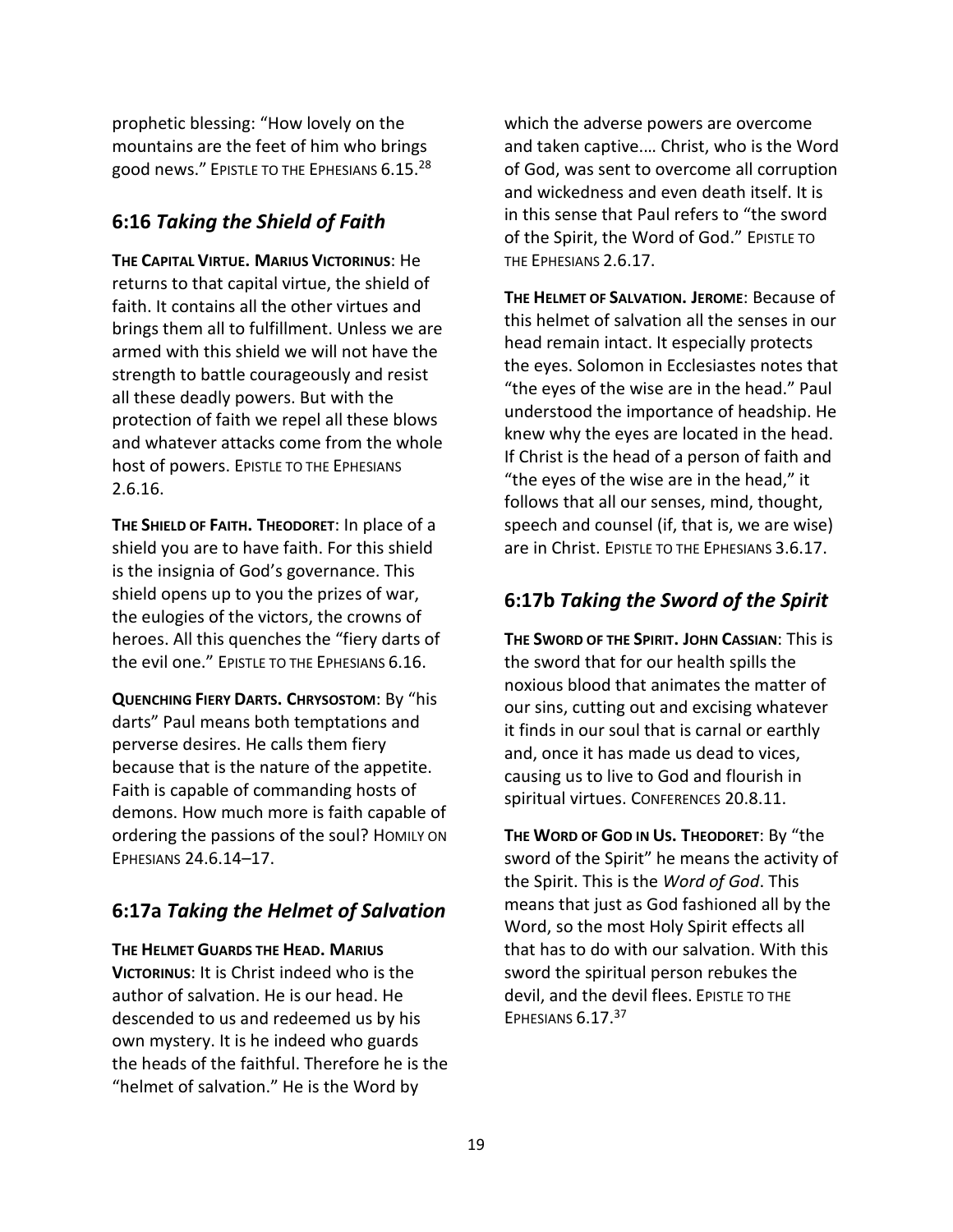prophetic blessing: "How lovely on the mountains are the feet of him who brings  ${\rm good}$  news." Epistle to the Ephesians  $6.15.^{28}$ 

## **6:16** *Taking the Shield of Faith*

**THE CAPITAL VIRTUE. MARIUS VICTORINUS**: He returns to that capital virtue, the shield of faith. It contains all the other virtues and brings them all to fulfillment. Unless we are armed with this shield we will not have the strength to battle courageously and resist all these deadly powers. But with the protection of faith we repel all these blows and whatever attacks come from the whole host of powers. EPISTLE TO THE EPHESIANS 2.6.16.

**THE SHIELD OF FAITH. THEODORET**: In place of a shield you are to have faith. For this shield is the insignia of God's governance. This shield opens up to you the prizes of war, the eulogies of the victors, the crowns of heroes. All this quenches the "fiery darts of the evil one." EPISTLE TO THE EPHESIANS 6.16.

**QUENCHING FIERY DARTS. CHRYSOSTOM**: By "his darts" Paul means both temptations and perverse desires. He calls them fiery because that is the nature of the appetite. Faith is capable of commanding hosts of demons. How much more is faith capable of ordering the passions of the soul? HOMILY ON EPHESIANS 24.6.14–17.

## **6:17a** *Taking the Helmet of Salvation*

**THE HELMET GUARDS THE HEAD. MARIUS VICTORINUS**: It is Christ indeed who is the author of salvation. He is our head. He descended to us and redeemed us by his own mystery. It is he indeed who guards the heads of the faithful. Therefore he is the "helmet of salvation." He is the Word by

which the adverse powers are overcome and taken captive.… Christ, who is the Word of God, was sent to overcome all corruption and wickedness and even death itself. It is in this sense that Paul refers to "the sword of the Spirit, the Word of God." EPISTLE TO THE EPHESIANS 2.6.17.

**THE HELMET OF SALVATION. JEROME**: Because of this helmet of salvation all the senses in our head remain intact. It especially protects the eyes. Solomon in Ecclesiastes notes that "the eyes of the wise are in the head." Paul understood the importance of headship. He knew why the eyes are located in the head. If Christ is the head of a person of faith and "the eyes of the wise are in the head," it follows that all our senses, mind, thought, speech and counsel (if, that is, we are wise) are in Christ. EPISTLE TO THE EPHESIANS 3.6.17.

## **6:17b** *Taking the Sword of the Spirit*

**THE SWORD OF THE SPIRIT. JOHN CASSIAN**: This is the sword that for our health spills the noxious blood that animates the matter of our sins, cutting out and excising whatever it finds in our soul that is carnal or earthly and, once it has made us dead to vices, causing us to live to God and flourish in spiritual virtues. CONFERENCES 20.8.11.

**THE WORD OF GOD IN US. THEODORET**: By "the sword of the Spirit" he means the activity of the Spirit. This is the *Word of God*. This means that just as God fashioned all by the Word, so the most Holy Spirit effects all that has to do with our salvation. With this sword the spiritual person rebukes the devil, and the devil flees. EPISTLE TO THE EPHESIANS 6.17. 37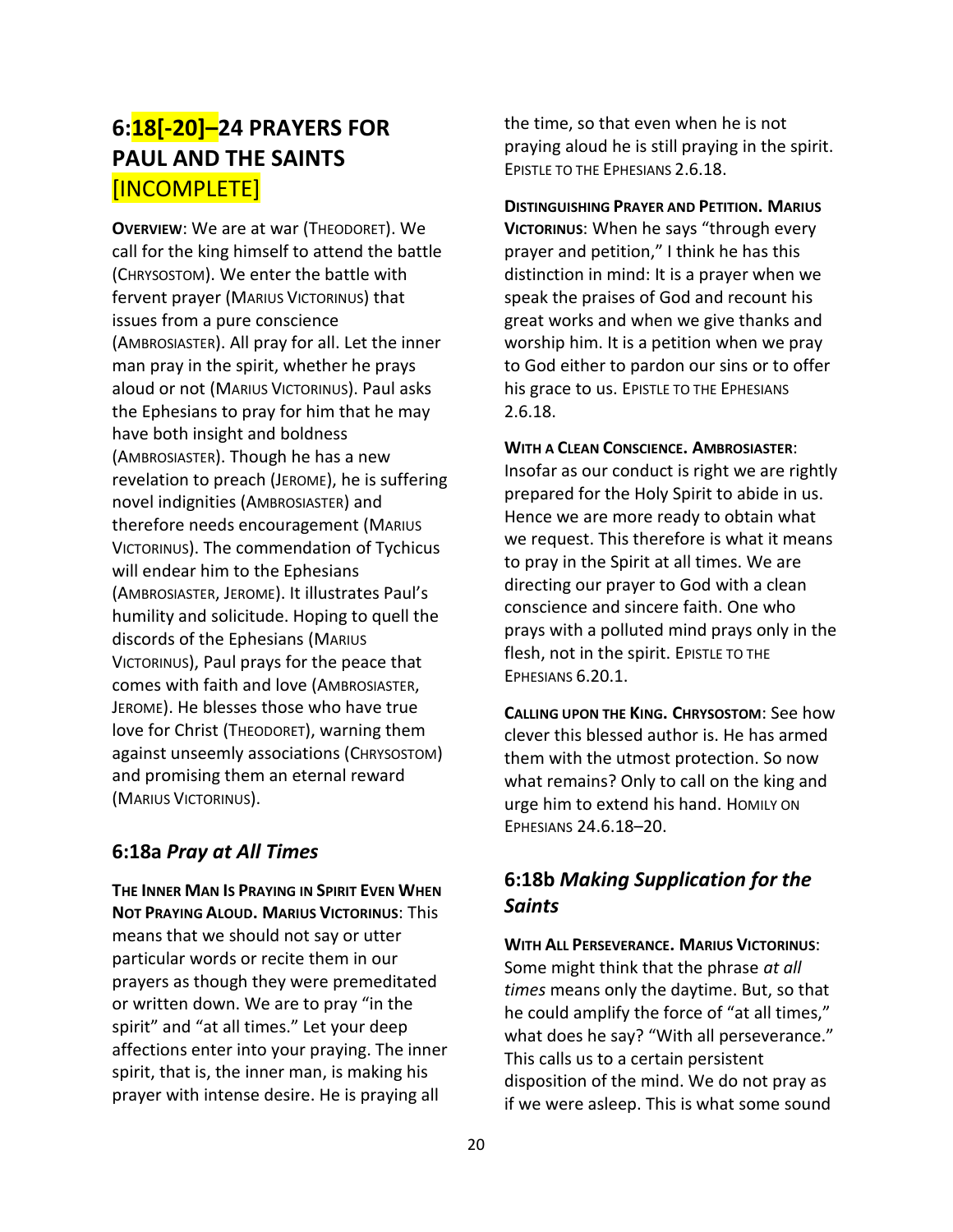# **6:18[-20]–24 PRAYERS FOR PAUL AND THE SAINTS** [INCOMPLETE]

**OVERVIEW**: We are at war (THEODORET). We call for the king himself to attend the battle (CHRYSOSTOM). We enter the battle with fervent prayer (MARIUS VICTORINUS) that issues from a pure conscience (AMBROSIASTER). All pray for all. Let the inner man pray in the spirit, whether he prays aloud or not (MARIUS VICTORINUS). Paul asks the Ephesians to pray for him that he may have both insight and boldness (AMBROSIASTER). Though he has a new revelation to preach (JEROME), he is suffering novel indignities (AMBROSIASTER) and therefore needs encouragement (MARIUS VICTORINUS). The commendation of Tychicus will endear him to the Ephesians (AMBROSIASTER, JEROME). It illustrates Paul's humility and solicitude. Hoping to quell the discords of the Ephesians (MARIUS VICTORINUS), Paul prays for the peace that comes with faith and love (AMBROSIASTER, JEROME). He blesses those who have true love for Christ (THEODORET), warning them against unseemly associations (CHRYSOSTOM) and promising them an eternal reward (MARIUS VICTORINUS).

#### **6:18a** *Pray at All Times*

**THE INNER MAN IS PRAYING IN SPIRIT EVEN WHEN NOT PRAYING ALOUD. MARIUS VICTORINUS**: This means that we should not say or utter particular words or recite them in our prayers as though they were premeditated or written down. We are to pray "in the spirit" and "at all times." Let your deep affections enter into your praying. The inner spirit, that is, the inner man, is making his prayer with intense desire. He is praying all

the time, so that even when he is not praying aloud he is still praying in the spirit. EPISTLE TO THE EPHESIANS 2.6.18.

**DISTINGUISHING PRAYER AND PETITION. MARIUS VICTORINUS**: When he says "through every prayer and petition," I think he has this distinction in mind: It is a prayer when we speak the praises of God and recount his great works and when we give thanks and worship him. It is a petition when we pray to God either to pardon our sins or to offer his grace to us. EPISTLE TO THE EPHESIANS 2.6.18.

#### **WITH A CLEAN CONSCIENCE. AMBROSIASTER**:

Insofar as our conduct is right we are rightly prepared for the Holy Spirit to abide in us. Hence we are more ready to obtain what we request. This therefore is what it means to pray in the Spirit at all times. We are directing our prayer to God with a clean conscience and sincere faith. One who prays with a polluted mind prays only in the flesh, not in the spirit. EPISTLE TO THE EPHESIANS 6.20.1.

**CALLING UPON THE KING. CHRYSOSTOM**: See how clever this blessed author is. He has armed them with the utmost protection. So now what remains? Only to call on the king and urge him to extend his hand. HOMILY ON EPHESIANS 24.6.18–20.

## **6:18b** *Making Supplication for the Saints*

**WITH ALL PERSEVERANCE. MARIUS VICTORINUS**: Some might think that the phrase *at all times* means only the daytime. But, so that he could amplify the force of "at all times," what does he say? "With all perseverance." This calls us to a certain persistent disposition of the mind. We do not pray as if we were asleep. This is what some sound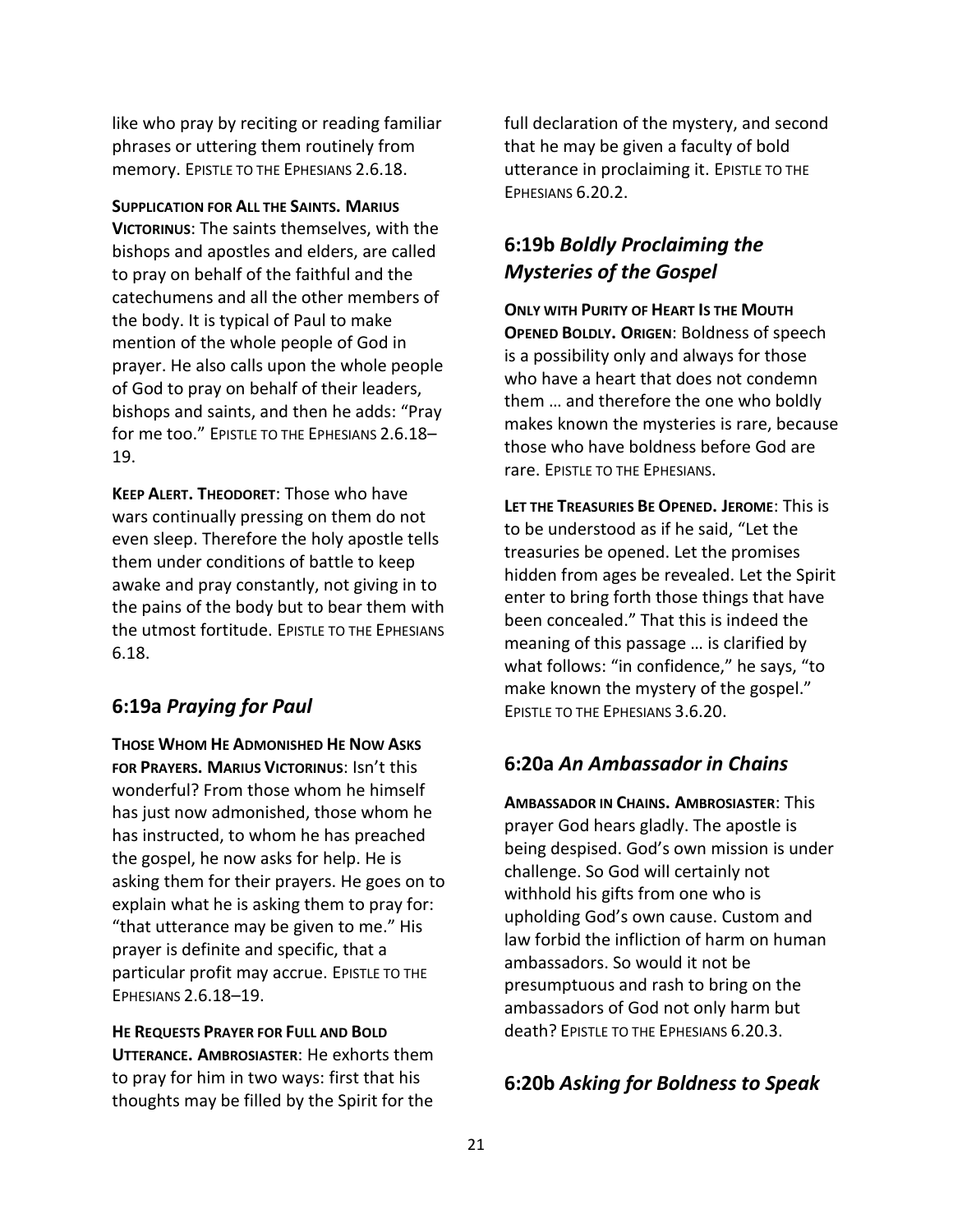like who pray by reciting or reading familiar phrases or uttering them routinely from memory. EPISTLE TO THE EPHESIANS 2.6.18.

**SUPPLICATION FOR ALL THE SAINTS. MARIUS VICTORINUS**: The saints themselves, with the bishops and apostles and elders, are called to pray on behalf of the faithful and the catechumens and all the other members of the body. It is typical of Paul to make mention of the whole people of God in prayer. He also calls upon the whole people of God to pray on behalf of their leaders, bishops and saints, and then he adds: "Pray for me too." EPISTLE TO THE EPHESIANS 2.6.18– 19.

**KEEP ALERT. THEODORET**: Those who have wars continually pressing on them do not even sleep. Therefore the holy apostle tells them under conditions of battle to keep awake and pray constantly, not giving in to the pains of the body but to bear them with the utmost fortitude. EPISTLE TO THE EPHESIANS 6.18.

#### **6:19a** *Praying for Paul*

**THOSE WHOM HE ADMONISHED HE NOW ASKS FOR PRAYERS. MARIUS VICTORINUS**: Isn't this wonderful? From those whom he himself has just now admonished, those whom he has instructed, to whom he has preached the gospel, he now asks for help. He is asking them for their prayers. He goes on to explain what he is asking them to pray for: "that utterance may be given to me." His prayer is definite and specific, that a particular profit may accrue. EPISTLE TO THE EPHESIANS 2.6.18–19.

**HE REQUESTS PRAYER FOR FULL AND BOLD UTTERANCE. AMBROSIASTER**: He exhorts them to pray for him in two ways: first that his thoughts may be filled by the Spirit for the full declaration of the mystery, and second that he may be given a faculty of bold utterance in proclaiming it. EPISTLE TO THE EPHESIANS 6.20.2.

## **6:19b** *Boldly Proclaiming the Mysteries of the Gospel*

**ONLY WITH PURITY OF HEART IS THE MOUTH OPENED BOLDLY. ORIGEN**: Boldness of speech is a possibility only and always for those who have a heart that does not condemn them … and therefore the one who boldly makes known the mysteries is rare, because those who have boldness before God are rare. EPISTLE TO THE EPHESIANS.

**LET THE TREASURIES BE OPENED. JEROME**: This is to be understood as if he said, "Let the treasuries be opened. Let the promises hidden from ages be revealed. Let the Spirit enter to bring forth those things that have been concealed." That this is indeed the meaning of this passage … is clarified by what follows: "in confidence," he says, "to make known the mystery of the gospel." EPISTLE TO THE EPHESIANS 3.6.20.

#### **6:20a** *An Ambassador in Chains*

**AMBASSADOR IN CHAINS. AMBROSIASTER**: This prayer God hears gladly. The apostle is being despised. God's own mission is under challenge. So God will certainly not withhold his gifts from one who is upholding God's own cause. Custom and law forbid the infliction of harm on human ambassadors. So would it not be presumptuous and rash to bring on the ambassadors of God not only harm but death? EPISTLE TO THE EPHESIANS 6.20.3.

#### **6:20b** *Asking for Boldness to Speak*